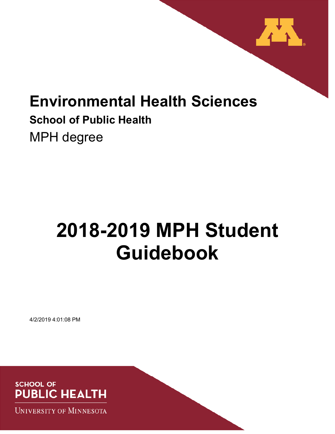

# **Environmental Health Sciences School of Public Health**  MPH degree

# **2018-2019 MPH Student Guidebook**

4/2/2019 4:01:08 PM



**UNIVERSITY OF MINNESOTA**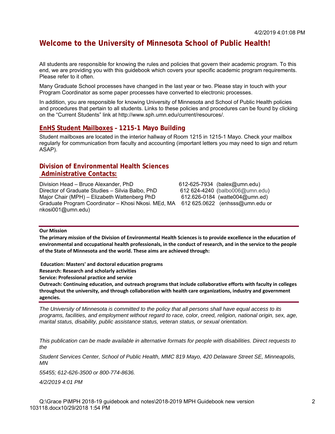# **Welcome to the University of Minnesota School of Public Health!**

All students are responsible for knowing the rules and policies that govern their academic program. To this end, we are providing you with this guidebook which covers your specific academic program requirements. Please refer to it often.

Many Graduate School processes have changed in the last year or two. Please stay in touch with your Program Coordinator as some paper processes have converted to electronic processes.

In addition, you are responsible for knowing University of Minnesota and School of Public Health policies and procedures that pertain to all students. Links to these policies and procedures can be found by clicking on the "Current Students" link at http://www.sph.umn.edu/current/resources/.

#### **EnHS Student Mailboxes – 1215-1 Mayo Building**

Student mailboxes are located in the interior hallway of Room 1215 in 1215-1 Mayo. Check your mailbox regularly for communication from faculty and accounting (important letters you may need to sign and return ASAP).

#### **Division of Environmental Health Sciences Administrative Contacts:**

Division Head – Bruce Alexander, PhD 612-625-7934 (balex@umn.edu) Director of Graduate Studies – Silvia Balbo, PhD 612 624-4240 (balbo006@umn.edu) Major Chair (MPH) – Elizabeth Wattenberg PhD 612.626-0184 (watte004@umn.ed) Graduate Program Coordinator – Khosi Nkosi. MEd, MA 612 625.0622 (enhsss@umn.edu or nkosi001@umn.edu)

#### **Our Mission**

**The primary mission of the Division of Environmental Health Sciences is to provide excellence in the education of environmental and occupational health professionals, in the conduct of research, and in the service to the people of the State of Minnesota and the world. These aims are achieved through:** 

 **Education: Masters' and doctoral education programs** 

**Research: Research and scholarly activities** 

**Service: Professional practice and service** 

**Outreach: Continuing education, and outreach programs that include collaborative efforts with faculty in colleges throughout the university, and through collaboration with health care organizations, industry and government agencies.** 

*The University of Minnesota is committed to the policy that all persons shall have equal access to its programs, facilities, and employment without regard to race, color, creed, religion, national origin, sex, age, marital status, disability, public assistance status, veteran status, or sexual orientation.* 

*This publication can be made available in alternative formats for people with disabilities. Direct requests to the* 

*Student Services Center, School of Public Health, MMC 819 Mayo, 420 Delaware Street SE, Minneapolis, MN* 

*55455; 612-626-3500 or 800-774-8636.* 

*4/2/2019 4:01 PM*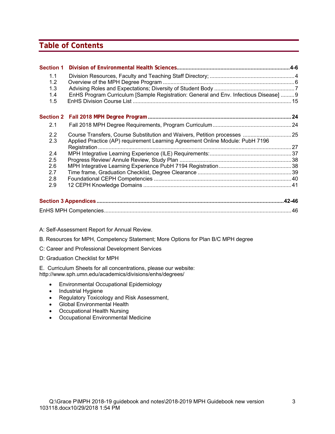# **Table of Contents**

| <b>Section 1</b> |                                                                                      |  |
|------------------|--------------------------------------------------------------------------------------|--|
| 1.1              |                                                                                      |  |
| 1.2              |                                                                                      |  |
| 1.3              |                                                                                      |  |
| 1.4              | EnHS Program Curriculum [Sample Registration: General and Env. Infectious Disease] 9 |  |
| 1.5              |                                                                                      |  |
| <b>Section 2</b> |                                                                                      |  |
| 2.1              |                                                                                      |  |
| 2.2              | Course Transfers, Course Substitution and Waivers, Petition processes  25            |  |
| 2.3              | Applied Practice (AP) requirement Learning Agreement Online Module: PubH 7196        |  |
|                  |                                                                                      |  |
| 2.4              |                                                                                      |  |
| 2.5              |                                                                                      |  |
| 2.6              |                                                                                      |  |
| 2.7              |                                                                                      |  |
| 2.8              |                                                                                      |  |
| 2.9              |                                                                                      |  |
|                  |                                                                                      |  |
|                  |                                                                                      |  |

- A: Self-Assessment Report for Annual Review.
- B. Resources for MPH, Competency Statement; More Options for Plan B/C MPH degree
- C: Career and Professional Development Services
- D: Graduation Checklist for MPH

E. Curriculum Sheets for all concentrations, please our website: http://www.sph.umn.edu/academics/divisions/enhs/degrees/

- Environmental Occupational Epidemiology
- Industrial Hygiene
- Regulatory Toxicology and Risk Assessment,
- Global Environmental Health
- Occupational Health Nursing
- Occupational Environmental Medicine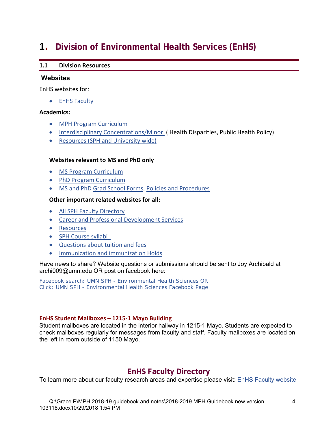# **1. Division of Environmental Health Services (EnHS)**

#### **1.1 Division Resources**

#### **Websites**

EnHS websites for:

**•** EnHS Faculty

#### **Academics:**

- MPH Program Curriculum
- Interdisciplinary Concentrations/Minor (Health Disparities, Public Health Policy)
- Resources (SPH and University wide)

#### **Websites relevant to MS and PhD only**

- MS Program Curriculum
- PhD Program Curriculum
- MS and PhD Grad School Forms, Policies and Procedures

#### **Other important related websites for all:**

- All SPH Faculty Directory
- Career and Professional Development Services
- **•** Resources
- SPH Course syllabi
- Questions about tuition and fees
- **•** Immunization and immunization Holds

Have news to share? Website questions or submissions should be sent to Joy Archibald at archi009@umn.edu OR post on facebook here:

Facebook search: UMN SPH - Environmental Health Sciences OR Click: UMN SPH - Environmental Health Sciences Facebook Page

#### **EnHS Student Mailboxes – 1215‐1 Mayo Building**

Student mailboxes are located in the interior hallway in 1215-1 Mayo. Students are expected to check mailboxes regularly for messages from faculty and staff. Faculty mailboxes are located on the left in room outside of 1150 Mayo.

# **EnHS Faculty Directory**

To learn more about our faculty research areas and expertise please visit: EnHS Faculty website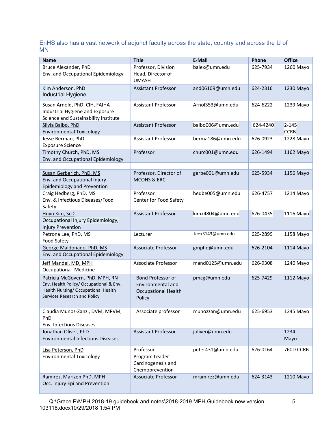EnHS also has a vast network of adjunct faculty across the state, country and across the U of MN

| <b>Name</b>                                                                                                                                       | <b>Title</b>                                                                          | <b>E-Mail</b>    | Phone    | <b>Office</b>            |
|---------------------------------------------------------------------------------------------------------------------------------------------------|---------------------------------------------------------------------------------------|------------------|----------|--------------------------|
| Bruce Alexander, PhD<br>Env. and Occupational Epidemiology                                                                                        | Professor, Division<br>Head, Director of<br><b>UMASH</b>                              | balex@umn.edu    | 625-7934 | 1260 Mayo                |
| Kim Anderson, PhD<br>Industrial Hygiene                                                                                                           | <b>Assistant Professor</b>                                                            | and06109@umn.edu | 624-2316 | 1230 Mayo                |
| Susan Arnold, PhD, CIH, FAIHA<br>Industrial Hygiene and Exposure<br>Science and Sustainability Institute                                          | <b>Assistant Professor</b>                                                            | Arnol353@umn.edu | 624-6222 | 1239 Mayo                |
| Silvia Balbo, PhD<br><b>Environmental Toxicology</b>                                                                                              | <b>Assistant Professor</b>                                                            | balbo006@umn.edu | 624-4240 | $2 - 145$<br><b>CCRB</b> |
| Jesse Berman, PhD<br><b>Exposure Science</b>                                                                                                      | <b>Assistant Professor</b>                                                            | berma186@umn.edu | 626-0923 | 1228 Mayo                |
| Timothy Church, PhD, MS<br>Env. and Occupational Epidemiology                                                                                     | Professor                                                                             | churc001@umn.edu | 626-1494 | 1162 Mayo                |
| Susan Gerberich, PhD, MS<br>Env. and Occupational Injury<br><b>Epidemiology and Prevention</b>                                                    | Professor, Director of<br>MCOHS & ERC                                                 | gerbe001@umn.edu | 625-5934 | 1156 Mayo                |
| Craig Hedberg, PhD, MS<br>Env. & Infectious Diseases/Food<br>Safety                                                                               | Professor<br>Center for Food Safety                                                   | hedbe005@umn.edu | 626-4757 | 1214 Mayo                |
| Huyn Kim, ScD<br>Occupational Injury Epidemiology,<br><b>Injury Prevention</b>                                                                    | <b>Assistant Professor</b>                                                            | kimx4804@umn.edu | 626-0435 | 1116 Mayo                |
| Petrona Lee, PhD, MS<br>Food Safety                                                                                                               | Lecturer                                                                              | leex3143@umn.edu | 625-2899 | 1158 Mayo                |
| George Maldonado, PhD, MS<br>Env. and Occupational Epidemiology                                                                                   | <b>Associate Professor</b>                                                            | gmphd@umn.edu    | 626-2104 | 1114 Mayo                |
| Jeff Mandel, MD, MPH<br>Occupational Medicine                                                                                                     | Associate Professor                                                                   | mand0125@umn.edu | 626-9308 | 1240 Mayo                |
| Patricia McGovern, PhD, MPH, RN<br>Env. Health Policy/ Occupational & Env.<br>Health Nursing/ Occupational Health<br>Services Research and Policy | <b>Bond Professor of</b><br>Environmental and<br><b>Occupational Health</b><br>Policy | pmcg@umn.edu     | 625-7429 | 1112 Mayo                |
| Claudia Munoz-Zanzi, DVM, MPVM,<br>PhD<br>Env. Infectious Diseases                                                                                | Associate professor                                                                   | munozzan@umn.edu | 625-6953 | 1245 Mayo                |
| Jonathan Oliver, PhD<br><b>Environmental Infections Diseases</b>                                                                                  | Assistant Professor                                                                   | joliver@umn.edu  |          | 1234<br>Mayo             |
| Lisa Peterson, PhD<br><b>Environmental Toxicology</b>                                                                                             | Professor<br>Program Leader<br>Carcinogenesis and<br>Chemoprevention                  | peter431@umn.edu | 626-0164 | 760D CCRB                |
| Ramirez, Marizen PhD, MPH<br>Occ. Injury Epi and Prevention                                                                                       | Associate Professor                                                                   | mramirez@umn.edu | 624-3143 | 1210 Mayo                |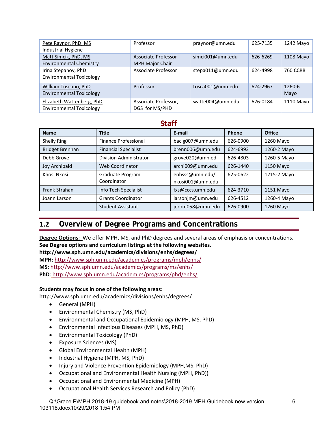| Pete Raynor, PhD, MS<br>Industrial Hygiene                   | Professor                                     | praynor@umn.edu  | 625-7135 | 1242 Mayo       |
|--------------------------------------------------------------|-----------------------------------------------|------------------|----------|-----------------|
| Matt Simcik, PhD, MS<br><b>Environmental Chemistry</b>       | Associate Professor<br><b>MPH Major Chair</b> | simci001@umn.edu | 626-6269 | 1108 Mayo       |
| Irina Stepanov, PhD<br><b>Environmental Toxicology</b>       | Associate Professor                           | stepa011@umn.edu | 624-4998 | <b>760 CCRB</b> |
| William Toscano, PhD<br><b>Environmental Toxicology</b>      | Professor                                     | tosca001@umn.edu | 624-2967 | 1260-6<br>Mayo  |
| Elizabeth Wattenberg, PhD<br><b>Environmental Toxicology</b> | Associate Professor,<br>DGS for MS/PHD        | watte004@umn.edu | 626-0184 | 1110 Mayo       |

# **Staff**

| <b>Name</b>            | <b>Title</b>                    | E-mail                              | Phone    | <b>Office</b> |
|------------------------|---------------------------------|-------------------------------------|----------|---------------|
| Shelly Ring            | <b>Finance Professional</b>     | bacig007@umn.edu                    | 626-0900 | 1260 Mayo     |
| <b>Bridget Brennan</b> | <b>Financial Specialist</b>     | brenn006@umn.edu                    | 624-6993 | 1260-2 Mayo   |
| Debb Grove             | <b>Division Administrator</b>   | grove020@umn.ed                     | 626-4803 | 1260-5 Mayo   |
| <b>Joy Archibald</b>   | Web Coordinator                 | archi009@umn.edu                    | 626-1440 | 1150 Mayo     |
| Khosi Nkosi            | Graduate Program<br>Coordinator | enhsss@umn.edu/<br>nkosi001@umn.edu | 625-0622 | 1215-2 Mayo   |
| <b>Frank Strahan</b>   | Info Tech Specialist            | fxs@cccs.umn.edu                    | 624-3710 | 1151 Mayo     |
| Joann Larson           | <b>Grants Coordinator</b>       | larsonjm@umn.edu                    | 626-4512 | 1260-4 Mayo   |
|                        | <b>Student Assistant</b>        | jerom058@umn.edu                    | 626-0900 | 1260 Mayo     |

# **1.2 Overview of Degree Programs and Concentrations**

**Degree Options**: We offer MPH, MS, and PhD degrees and several areas of emphasis or concentrations. **See Degree options and curriculum listings at the following websites.** 

**http://www.sph.umn.edu/academics/divisions/enhs/degrees/** 

**MPH:** http://www.sph.umn.edu/academics/programs/mph/enhs/ **MS:** http://www.sph.umn.edu/academics/programs/ms/enhs/ **PhD**: http://www.sph.umn.edu/academics/programs/phd/enhs/

#### **Students may focus in one of the following areas:**

http://www.sph.umn.edu/academics/divisions/enhs/degrees/

- General (MPH)
- Environmental Chemistry (MS, PhD)
- Environmental and Occupational Epidemiology (MPH, MS, PhD)
- Environmental Infectious Diseases (MPH, MS, PhD)
- Environmental Toxicology (PhD)
- Exposure Sciences (MS)
- Global Environmental Health (MPH)
- Industrial Hygiene (MPH, MS, PhD)
- Injury and Violence Prevention Epidemiology (MPH,MS, PhD)
- Occupational and Environmental Health Nursing (MPH, PhD))
- Occupational and Environmental Medicine (MPH)
- Occupational Health Services Research and Policy (PhD)

Q:\Grace P\MPH 2018-19 guidebook and notes\2018-2019 MPH Guidebook new version 103118.docx10/29/2018 1:54 PM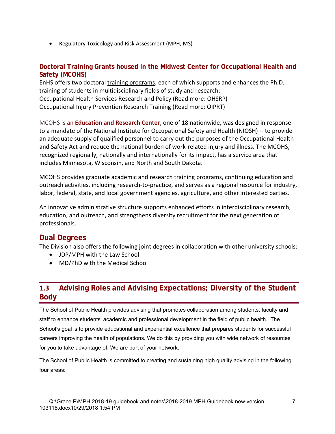• Regulatory Toxicology and Risk Assessment (MPH, MS)

#### **Doctoral Training Grants housed in the Midwest Center for Occupational Health and Safety (MCOHS)**

EnHS offers two doctoral training programs; each of which supports and enhances the Ph.D. training of students in multidisciplinary fields of study and research: Occupational Health Services Research and Policy (Read more: OHSRP) Occupational Injury Prevention Research Training (Read more: OIPRT)

MCOHS is an **Education and Research Center**, one of 18 nationwide, was designed in response to a mandate of the National Institute for Occupational Safety and Health (NIOSH) ‐‐ to provide an adequate supply of qualified personnel to carry out the purposes of the Occupational Health and Safety Act and reduce the national burden of work‐related injury and illness. The MCOHS, recognized regionally, nationally and internationally for its impact, has a service area that includes Minnesota, Wisconsin, and North and South Dakota.

MCOHS provides graduate academic and research training programs, continuing education and outreach activities, including research‐to‐practice, and serves as a regional resource for industry, labor, federal, state, and local government agencies, agriculture, and other interested parties.

An innovative administrative structure supports enhanced efforts in interdisciplinary research, education, and outreach, and strengthens diversity recruitment for the next generation of professionals.

# **Dual Degrees**

The Division also offers the following joint degrees in collaboration with other university schools:

- JDP/MPH with the Law School
- MD/PhD with the Medical School

# **1.3 Advising Roles and Advising Expectations; Diversity of the Student Body**

The School of Public Health provides advising that promotes collaboration among students, faculty and staff to enhance students' academic and professional development in the field of public health. The School's goal is to provide educational and experiential excellence that prepares students for successful careers improving the health of populations. We do this by providing you with wide network of resources for you to take advantage of. We are part of your network.

The School of Public Health is committed to creating and sustaining high quality advising in the following four areas: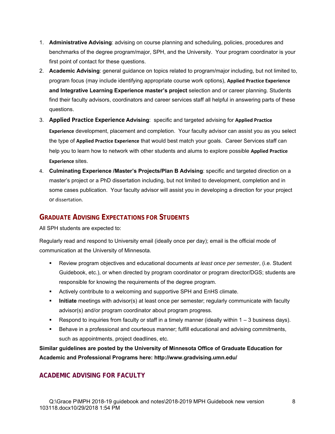- 1. **Administrative Advising**: advising on course planning and scheduling, policies, procedures and benchmarks of the degree program/major, SPH, and the University. Your program coordinator is your first point of contact for these questions.
- 2. **Academic Advising**: general guidance on topics related to program/major including, but not limited to, program focus (may include identifying appropriate course work options), **Applied Practice Experience and Integrative Learning Experience master's project** selection and or career planning. Students find their faculty advisors, coordinators and career services staff all helpful in answering parts of these questions.
- 3. **Applied Practice Experience Advising**: specific and targeted advising for **Applied Practice Experience** development, placement and completion. Your faculty advisor can assist you as you select the type of **Applied Practice Experience** that would best match your goals. Career Services staff can help you to learn how to network with other students and alums to explore possible **Applied Practice Experience** sites.
- 4. **Culminating Experience /Master's Projects/Plan B Advising**: specific and targeted direction on a master's project or a PhD dissertation including, but not limited to development, completion and in some cases publication. Your faculty advisor will assist you in developing a direction for your project or dissertation.

#### **GRADUATE ADVISING EXPECTATIONS FOR STUDENTS**

All SPH students are expected to:

Regularly read and respond to University email (ideally once per day); email is the official mode of communication at the University of Minnesota.

- Review program objectives and educational documents *at least once per semester*, (i.e. Student Guidebook, etc.), or when directed by program coordinator or program director/DGS; students are responsible for knowing the requirements of the degree program.
- Actively contribute to a welcoming and supportive SPH and EnHS climate.
- **Initiate** meetings with advisor(s) at least once per semester; regularly communicate with faculty advisor(s) and/or program coordinator about program progress.
- Respond to inquiries from faculty or staff in a timely manner (ideally within  $1 3$  business days).
- **Behave in a professional and courteous manner; fulfill educational and advising commitments,** such as appointments, project deadlines, etc.

**Similar guidelines are posted by the University of Minnesota Office of Graduate Education for Academic and Professional Programs here: http://www.gradvising.umn.edu/** 

# **ACADEMIC ADVISING FOR FACULTY**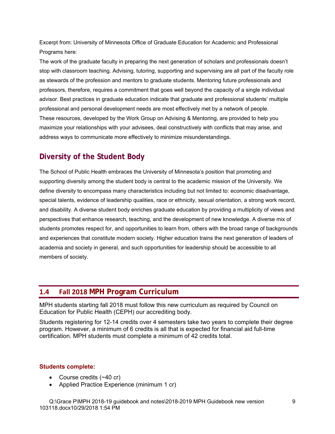Excerpt from: University of Minnesota Office of Graduate Education for Academic and Professional Programs here:

The work of the graduate faculty in preparing the next generation of scholars and professionals doesn't stop with classroom teaching. Advising, tutoring, supporting and supervising are all part of the faculty role as stewards of the profession and mentors to graduate students. Mentoring future professionals and professors, therefore, requires a commitment that goes well beyond the capacity of a single individual advisor. Best practices in graduate education indicate that graduate and professional students' multiple professional and personal development needs are most effectively met by a network of people. These resources, developed by the Work Group on Advising & Mentoring, are provided to help you maximize your relationships with your advisees, deal constructively with conflicts that may arise, and address ways to communicate more effectively to minimize misunderstandings.

# **Diversity of the Student Body**

The School of Public Health embraces the University of Minnesota's position that promoting and supporting diversity among the student body is central to the academic mission of the University. We define diversity to encompass many characteristics including but not limited to: economic disadvantage, special talents, evidence of leadership qualities, race or ethnicity, sexual orientation, a strong work record, and disability. A diverse student body enriches graduate education by providing a multiplicity of views and perspectives that enhance research, teaching, and the development of new knowledge. A diverse mix of students promotes respect for, and opportunities to learn from, others with the broad range of backgrounds and experiences that constitute modern society. Higher education trains the next generation of leaders of academia and society in general, and such opportunities for leadership should be accessible to all members of society.

# **1.4 Fall 2018 MPH Program Curriculum**

MPH students starting fall 2018 must follow this new curriculum as required by Council on Education for Public Health (CEPH) our accrediting body.

Students registering for 12-14 credits over 4 semesters take two years to complete their degree program. However, a minimum of 6 credits is all that is expected for financial aid full-time certification. MPH students must complete a minimum of 42 credits total.

#### **Students complete:**

- Course credits (~40 cr)
- Applied Practice Experience (minimum 1 cr)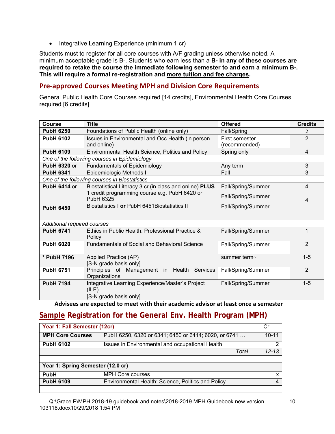• Integrative Learning Experience (minimum 1 cr)

Students must to register for all core courses with A/F grading unless otherwise noted. A minimum acceptable grade is B-. Students who earn less than a **B- in any of these courses are required to retake the course the immediate following semester to and earn a minimum B-. This will require a formal re-registration and more tuition and fee charges.** 

#### **Pre‐approved Courses Meeting MPH and Division Core Requirements**

General Public Health Core Courses required [14 credits], Environmental Health Core Courses required [6 credits]

| <b>Course</b>               | <b>Title</b>                                                      | <b>Offered</b>                  | <b>Credits</b> |
|-----------------------------|-------------------------------------------------------------------|---------------------------------|----------------|
| <b>PubH 6250</b>            | Foundations of Public Health (online only)                        | Fall/Spring                     | $\overline{2}$ |
| <b>PubH 6102</b>            | Issues in Environmental and Occ Health (in person<br>and online)  | First semester<br>(recommended) | $\overline{2}$ |
| <b>PubH 6109</b>            | Environmental Health Science, Politics and Policy                 | Spring only                     | $\overline{4}$ |
|                             | One of the following courses in Epidemiology                      |                                 |                |
| <b>PubH 6320 or</b>         | <b>Fundamentals of Epidemiology</b>                               | Any term                        | 3              |
| <b>PubH 6341</b>            | Epidemiologic Methods I                                           | Fall                            | 3              |
|                             | One of the following courses in Biostatistics                     |                                 |                |
| <b>PubH 6414 or</b>         | Biostatistical Literacy 3 cr (in class and online) PLUS           | Fall/Spring/Summer              | $\overline{4}$ |
|                             | 1 credit programming course e.g. PubH 6420 or<br><b>PubH 6325</b> | Fall/Spring/Summer              | 4              |
| <b>PubH 6450</b>            | Biostatistics I or PubH 6451 Biostatistics II                     | Fall/Spring/Summer              |                |
|                             |                                                                   |                                 |                |
| Additional required courses |                                                                   |                                 |                |
| <b>PubH 6741</b>            | Ethics in Public Health: Professional Practice &<br>Policy        | Fall/Spring/Summer              | 1              |
| <b>PubH 6020</b>            | <b>Fundamentals of Social and Behavioral Science</b>              | Fall/Spring/Summer              | $\overline{2}$ |
| * PubH 7196                 | Applied Practice (AP)<br>[S-N grade basis only]                   | summer term~                    | $1 - 5$        |
| <b>PubH 6751</b>            | Principles of Management in Health<br>Services                    | Fall/Spring/Summer              | $\overline{2}$ |
|                             | Organizations                                                     |                                 |                |
| <b>PubH 7194</b>            | Integrative Learning Experience/Master's Project<br>(ILE)         | Fall/Spring/Summer              | $1 - 5$        |
|                             | [S-N grade basis only]                                            |                                 |                |

**Advisees are expected to meet with their academic advisor at least once a semester** 

# **Sample Registration for the General Env. Health Program (MPH)**

| Year 1: Fall Semester (12cr)      |                                                      |           |
|-----------------------------------|------------------------------------------------------|-----------|
| <b>MPH Core Courses</b>           | PubH 6250, 6320 or 6341; 6450 or 6414; 6020, or 6741 | $10 - 11$ |
| <b>PubH 6102</b>                  | Issues in Environmental and occupational Health      |           |
|                                   | Total                                                | $12 - 13$ |
|                                   |                                                      |           |
| Year 1: Spring Semester (12.0 cr) |                                                      |           |
| <b>PubH</b>                       | <b>MPH Core courses</b>                              |           |
| <b>PubH 6109</b>                  | Environmental Health: Science, Politics and Policy   |           |
|                                   |                                                      |           |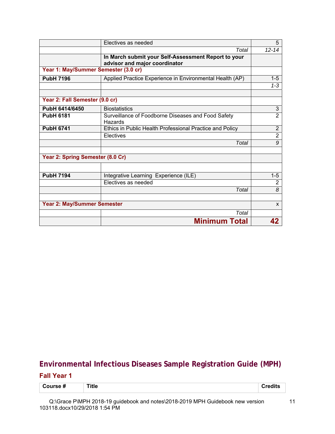|                                      | Electives as needed                                                                  | 5                         |
|--------------------------------------|--------------------------------------------------------------------------------------|---------------------------|
|                                      | Total                                                                                | $12 - 14$                 |
|                                      | In March submit your Self-Assessment Report to your<br>advisor and major coordinator |                           |
| Year 1: May/Summer Semester (3.0 cr) |                                                                                      |                           |
| <b>PubH 7196</b>                     | Applied Practice Experience in Environmental Health (AP)                             | $1 - 5$                   |
|                                      |                                                                                      | $1 - 3$                   |
|                                      |                                                                                      |                           |
| Year 2: Fall Semester (9.0 cr)       |                                                                                      |                           |
| PubH 6414/6450                       | <b>Biostatistics</b>                                                                 | $\ensuremath{\mathsf{3}}$ |
| <b>PubH 6181</b>                     | Surveillance of Foodborne Diseases and Food Safety<br>Hazards                        | $\overline{2}$            |
| <b>PubH 6741</b>                     | Ethics in Public Health Professional Practice and Policy                             | $\overline{2}$            |
|                                      | Electives                                                                            | $\overline{2}$            |
|                                      | Total                                                                                | 9                         |
| Year 2: Spring Semester (8.0 Cr)     |                                                                                      |                           |
| <b>PubH 7194</b>                     | Integrative Learning Experience (ILE)                                                | $1 - 5$                   |
|                                      | Electives as needed                                                                  | $\overline{2}$            |
|                                      | Total                                                                                | 8                         |
| Year 2: May/Summer Semester          |                                                                                      | $\mathsf{x}$              |
|                                      | Total                                                                                |                           |
|                                      | <b>Minimum Total</b>                                                                 | 42                        |

# **Environmental Infectious Diseases Sample Registration Guide (MPH)**

#### **Fall Year 1**

| .<br>-<br>--<br>$ -$ | $T$ itl $L$<br>___ |  |
|----------------------|--------------------|--|
|----------------------|--------------------|--|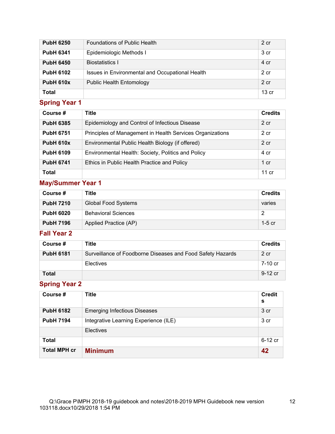| <b>PubH 6250</b> | <b>Foundations of Public Health</b>             | 2 cr             |
|------------------|-------------------------------------------------|------------------|
| <b>PubH 6341</b> | Epidemiologic Methods I                         | 3 cr             |
| <b>PubH 6450</b> | Biostatistics I                                 | 4 cr             |
| <b>PubH 6102</b> | Issues in Environmental and Occupational Health | 2 cr             |
| <b>PubH 610x</b> | <b>Public Health Entomology</b>                 | 2 cr             |
| Total            |                                                 | 13 <sub>cr</sub> |

# **Spring Year 1**

| Course #         | <b>Title</b>                                              | <b>Credits</b>  |
|------------------|-----------------------------------------------------------|-----------------|
| <b>PubH 6385</b> | Epidemiology and Control of Infectious Disease            | $2$ cr          |
| <b>PubH 6751</b> | Principles of Management in Health Services Organizations | 2 cr            |
| <b>PubH 610x</b> | Environmental Public Health Biology (if offered)          | $2$ cr          |
| <b>PubH 6109</b> | Environmental Health: Society, Politics and Policy        | 4 cr            |
| <b>PubH 6741</b> | Ethics in Public Health Practice and Policy               | $1 \text{ cr}$  |
| <b>Total</b>     |                                                           | $11 \text{ cr}$ |

# **May/Summer Year 1**

| Course #         | Title                      | <b>Credits</b> |
|------------------|----------------------------|----------------|
| <b>PubH 7210</b> | <b>Global Food Systems</b> | varies         |
| <b>PubH 6020</b> | <b>Behavioral Sciences</b> | 2              |
| <b>PubH 7196</b> | Applied Practice (AP)      | 1-5 cr         |

# **Fall Year 2**

| Course #         | Title                                                      | <b>Credits</b> |
|------------------|------------------------------------------------------------|----------------|
| <b>PubH 6181</b> | Surveillance of Foodborne Diseases and Food Safety Hazards | 2 cr           |
|                  | Electives                                                  | 7-10 cr        |
| <b>Total</b>     |                                                            | 9-12 cr        |

# **Spring Year 2**

| Course #            | Title                                 | <b>Credit</b><br>s |
|---------------------|---------------------------------------|--------------------|
| <b>PubH 6182</b>    | <b>Emerging Infectious Diseases</b>   | 3 cr               |
| <b>PubH 7194</b>    | Integrative Learning Experience (ILE) | 3 cr               |
|                     | <b>Electives</b>                      |                    |
| <b>Total</b>        |                                       | 6-12 cr            |
| <b>Total MPH cr</b> | <b>Minimum</b>                        | 42                 |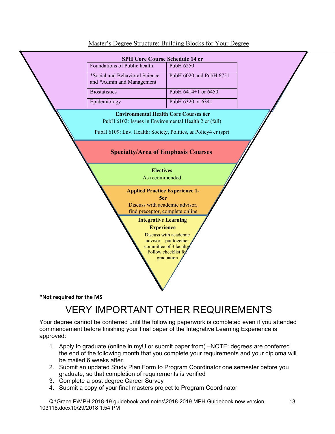

#### Master's Degree Structure: Building Blocks for Your Degree

# VERY IMPORTANT OTHER REQUIREMENTS

Your degree cannot be conferred until the following paperwork is completed even if you attended commencement before finishing your final paper of the Integrative Learning Experience is approved:

- 1. Apply to graduate (online in myU or submit paper from) –NOTE: degrees are conferred the end of the following month that you complete your requirements and your diploma will be mailed 6 weeks after.
- 2. Submit an updated Study Plan Form to Program Coordinator one semester before you graduate, so that completion of requirements is verified
- 3. Complete a post degree Career Survey
- 4. Submit a copy of your final masters project to Program Coordinator

Q:\Grace P\MPH 2018-19 guidebook and notes\2018-2019 MPH Guidebook new version 103118.docx10/29/2018 1:54 PM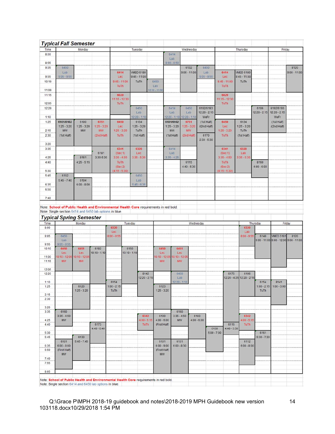|                | <b>Typical Fall Semester</b>                                                                                                                     |               |                   |                          |                |                        |                 |                                         |                       |                        |                                        |                           |                |                                        |                |
|----------------|--------------------------------------------------------------------------------------------------------------------------------------------------|---------------|-------------------|--------------------------|----------------|------------------------|-----------------|-----------------------------------------|-----------------------|------------------------|----------------------------------------|---------------------------|----------------|----------------------------------------|----------------|
| Time           |                                                                                                                                                  | Monday        |                   |                          |                | Tuesday                |                 |                                         | Wednesday             |                        |                                        | Thursday                  |                | Friday                                 |                |
| 8:00           |                                                                                                                                                  |               |                   |                          |                |                        |                 | 6414                                    |                       |                        |                                        |                           |                |                                        |                |
| 8:55           |                                                                                                                                                  |               |                   |                          |                |                        |                 | Lab<br>$8:00 - 8:50$                    |                       |                        |                                        |                           |                |                                        |                |
| 9:05           | 6450                                                                                                                                             |               |                   |                          |                |                        |                 |                                         | 6132                  | 6450                   |                                        |                           |                |                                        | 8120           |
|                | Lab                                                                                                                                              |               |                   | 6414                     |                | <b>VMED 5180</b>       |                 |                                         | $9:05 - 11:00$        | Lab                    | 6414                                   | <b>VMED 5180</b>          |                |                                        | $9:00 - 11:00$ |
| 9:55<br>10:10  | $9:05 - 9:55$                                                                                                                                    |               |                   | Lec<br>$9:45 - 11:00$    |                | $9:45 - 11:00$<br>TuTh | 6450            |                                         |                       | $9:05 - 9:55$          | Lec<br>$9:45 - 11:00$                  | $9:45 - 11:00$<br>TuTh    |                |                                        |                |
|                |                                                                                                                                                  |               |                   | TuTh                     |                |                        | Lab             |                                         |                       |                        | TuTh                                   |                           |                |                                        |                |
| 11:00          |                                                                                                                                                  |               |                   |                          |                |                        | $10:10 - 11:00$ |                                         |                       |                        |                                        |                           |                |                                        |                |
| 11:15          |                                                                                                                                                  |               |                   | 6020<br>11:15 - 12:30    |                |                        |                 |                                         |                       |                        | 6020<br>11:15 - 12:30                  |                           |                |                                        |                |
| 12:05          |                                                                                                                                                  |               |                   | TuTh                     |                |                        |                 |                                         |                       |                        | TuTh                                   |                           |                |                                        |                |
| 12:20          |                                                                                                                                                  |               |                   |                          |                | 6450                   |                 | 6414                                    | 6450                  | 6192/6193              |                                        |                           | 6106           | 6192/6193                              |                |
| 1:10           |                                                                                                                                                  |               |                   |                          |                | Lab<br>$12:20 - 1:10$  |                 | Lab<br>$12:20 - 1:10$                   | Lab<br>$12:20 - 1:10$ | $12.20 - 2.15$<br>WeFr |                                        |                           | $12:20 - 2:15$ | $12:20 - 2:15$<br>WeFr                 |                |
| 1:25           | 6101/6102                                                                                                                                        | 6100          | 6751              | 6450                     |                | 6134                   |                 | 6101/6102                               | 6751                  | (1st Half)             | 6450                                   | 6134                      |                | (1st Half)                             |                |
|                | $1:25 - 3:20$                                                                                                                                    | $1:25 - 3:20$ | $1:25 - 3:20$     | Lec                      |                | $1:25 - 3:20$          |                 | $1:25 - 3:20$                           | $1:25 - 3:20$         | /(2nd Half)            | Lec                                    | $1:25 - 3:20$             |                | /(2nd Half)                            |                |
| 2:15           | MW                                                                                                                                               | MW            | <b>MW</b>         | $1:25 - 3:20$            |                | TuTh                   |                 | MW                                      | <b>MW</b>             |                        | $1:25 - 3:20$                          | TuTh                      |                |                                        |                |
| 2:30           | (1st Half)                                                                                                                                       |               | (2nd Half)        | TuTh                     |                | (1st Half)             |                 | (1st Half)                              | (2nd Half)            | 6170<br>$2:30 - 5:30$  | TuTh                                   | (1st Half)                |                |                                        |                |
| 3:20           |                                                                                                                                                  |               |                   |                          |                |                        |                 |                                         |                       |                        |                                        |                           |                |                                        |                |
| 3:35           |                                                                                                                                                  |               |                   | 6341                     |                | 6320                   |                 | 6414                                    |                       |                        | 6341                                   | 6320                      |                |                                        |                |
| 4:25           |                                                                                                                                                  | 8161          | 6181<br>3:30-5:30 | (Sec 1)<br>$3:35 - 4:50$ |                | Lec<br>$3:35 - 5:30$   |                 | Lab<br>$3:35 - 4:25$                    |                       |                        | (Sec <sub>1</sub> )<br>$3:35 - 4:50$   | Lab<br>$3:35 - 5:30$      |                |                                        |                |
| 4:40           |                                                                                                                                                  | $4:25 - 5:15$ |                   | TuTh.                    |                |                        |                 |                                         | 6115                  |                        | TuTh                                   |                           | 8160           |                                        |                |
|                |                                                                                                                                                  |               |                   | (Sec2)                   |                |                        |                 |                                         | $4:40 - 5:30$         |                        | (Sec2)                                 |                           | $4:00 - 6:00$  |                                        |                |
| 5:30<br>5:45   | 6162                                                                                                                                             |               |                   | $(4:15 - 5:30)$          |                | 6450                   |                 |                                         |                       |                        | $(4:15 - 5:30)$                        |                           |                |                                        |                |
|                | $5:45 - 7:40$                                                                                                                                    | 6104          |                   |                          |                | Lab                    |                 |                                         |                       |                        |                                        |                           |                |                                        |                |
| 6:35           |                                                                                                                                                  | $6:00 - 8:00$ |                   |                          |                | $5:45 - 6:35$          |                 |                                         |                       |                        |                                        |                           |                |                                        |                |
| 6:50           |                                                                                                                                                  |               |                   |                          |                |                        |                 |                                         |                       |                        |                                        |                           |                |                                        |                |
| 7:40           |                                                                                                                                                  |               |                   |                          |                |                        |                 |                                         |                       |                        |                                        |                           |                |                                        |                |
|                | Note: School of Public Health and Environmental Health Core requirements in red bold.<br>Note: Single section 6414 and 6450 lab options in blue. |               |                   |                          |                |                        |                 |                                         |                       |                        |                                        |                           |                |                                        |                |
| Time           | <b>Typical Spring Semester</b>                                                                                                                   | Monday        |                   |                          | Tuesday        |                        |                 |                                         |                       | Wednesday              |                                        |                           | Thursday       |                                        | Friday         |
| 8:00           |                                                                                                                                                  |               |                   | 6320<br>Lec              |                |                        |                 |                                         |                       |                        |                                        | 6320<br>Lab               |                |                                        |                |
| 9:05           | 6450                                                                                                                                             |               |                   | $8:00 - 9:55$            |                |                        |                 |                                         |                       |                        |                                        | $8:00 - 9:55$             | 6140           | <b>VMED 5181</b>                       | 8120           |
| 9:55           | Lab<br>$9:05 - 9:55$                                                                                                                             |               |                   |                          |                |                        |                 |                                         |                       |                        |                                        |                           |                | 9:05 - 11:00 9:00 - 12:00 9:00 - 11:00 |                |
| 10:10          | 6450                                                                                                                                             | 6451          | 6182              |                          | 6150           |                        | 6450            |                                         | 6451                  |                        |                                        |                           |                |                                        |                |
|                | Lec                                                                                                                                              | Lec           | $10:10 - 1:10$    |                          | $10:10 - 1:10$ |                        |                 | Lec                                     | Lec                   |                        |                                        |                           |                |                                        |                |
| 11:00<br>11:15 | $10:10 - 12:05$ $10:10 - 12:05$<br>MW                                                                                                            | <b>MW</b>     |                   |                          |                |                        |                 | 10:10 - 12:05 10:10 - 12:0<br><b>MW</b> | <b>MW</b>             |                        |                                        |                           |                |                                        |                |
|                |                                                                                                                                                  |               |                   |                          |                |                        |                 |                                         |                       |                        |                                        |                           |                |                                        |                |
| 12:05<br>12:20 |                                                                                                                                                  |               |                   |                          |                | 8142                   |                 |                                         | 6450                  |                        | 6175                                   | 6106                      |                |                                        |                |
|                |                                                                                                                                                  |               |                   |                          |                | 12:20 - 2:15           |                 |                                         | Lab                   |                        |                                        | 12:20 - 4:25 12:20 - 2:15 |                |                                        |                |
| 1:10           |                                                                                                                                                  | 6120          |                   | 6154<br>$1:00 - 2:15$    |                |                        |                 |                                         | $12:20 - 1:10$        |                        |                                        |                           | 6154           | 8141                                   |                |
| 1:25           |                                                                                                                                                  | $1:25 - 3:20$ |                   | <b>TuTh</b>              |                |                        |                 | 6123<br>$1:25 - 3:20$                   |                       |                        |                                        |                           | <b>TuTh</b>    | $1:00 - 2:15$ 1:00 - 3:00              |                |
| 2:15           |                                                                                                                                                  |               |                   |                          |                |                        |                 |                                         |                       |                        |                                        |                           |                |                                        |                |
| 2:30           |                                                                                                                                                  |               |                   |                          |                |                        |                 |                                         |                       |                        |                                        |                           |                |                                        |                |
| 3:20           |                                                                                                                                                  |               |                   |                          |                |                        |                 |                                         |                       |                        |                                        |                           |                |                                        |                |
| 3:35           | 6160<br>$3:35 - 4:50$                                                                                                                            |               |                   |                          |                | 6342                   |                 | 6100                                    | 6160<br>$3:35 - 4:50$ | 6183                   |                                        | 6342                      |                |                                        |                |
| 4:25           | <b>MW</b>                                                                                                                                        |               |                   |                          |                | $4:00 - 5:15$          |                 | $4:00 - 6:00$                           | <b>MW</b>             | $4:00 - 6:00$          |                                        | $4:00 - 5:15$             |                |                                        |                |
| 4:40           |                                                                                                                                                  |               | 6173              |                          |                | TuTh:                  |                 | (First Half)                            |                       |                        | 6116                                   | TuTh:                     |                |                                        |                |
| 5:30           |                                                                                                                                                  |               | $4:40 - 6:40$     |                          |                |                        |                 |                                         |                       |                        | 6130<br>$4:40 - 5:30$<br>$5:00 - 7:00$ |                           | 6161           |                                        |                |
| 5:45           |                                                                                                                                                  | 6133          |                   |                          |                |                        |                 |                                         |                       |                        |                                        |                           | $5:30 - 7:30$  |                                        |                |
| 6:35           | 6101<br>$6:00 - 8:00$                                                                                                                            | $5:45 - 7:45$ |                   |                          |                |                        |                 | 6101<br>$6:00 - 9:00$                   | 6131<br>$6:00 - 8:30$ |                        |                                        | 6112<br>$6:00 - 8:00$     |                |                                        |                |
| 6:50           | (First Half)                                                                                                                                     |               |                   |                          |                |                        |                 | (First Half)                            |                       |                        |                                        |                           |                |                                        |                |
|                | <b>MW</b>                                                                                                                                        |               |                   |                          |                |                        |                 | MW                                      |                       |                        |                                        |                           |                |                                        |                |
| 7:40<br>7:55   |                                                                                                                                                  |               |                   |                          |                |                        |                 |                                         |                       |                        |                                        |                           |                |                                        |                |
| 8:05           |                                                                                                                                                  |               |                   |                          |                |                        |                 |                                         |                       |                        |                                        |                           |                |                                        |                |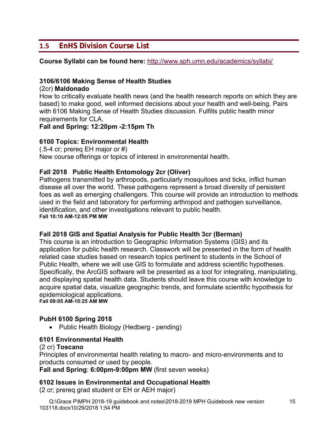# **1.5 EnHS Division Course List**

#### **Course Syllabi can be found here:** http://www.sph.umn.edu/academics/syllabi/

#### **3106/6106 Making Sense of Health Studies**

#### (2cr) **Maldonado**

How to critically evaluate health news (and the health research reports on which they are based) to make good, well informed decisions about your health and well-being. Pairs with 6106 Making Sense of Health Studies discussion. Fulfills public health minor requirements for CLA.

**Fall and Spring: 12:20pm -2:15pm Th**

#### **6100 Topics: Environmental Health**

(.5-4 cr; prereq EH major or #) New course offerings or topics of interest in environmental health.

#### **Fall 2018 Public Health Entomology 2cr (Oliver)**

Pathogens transmitted by arthropods, particularly mosquitoes and ticks, inflict human disease all over the world. These pathogens represent a broad diversity of persistent foes as well as emerging challengers. This course will provide an introduction to methods used in the field and laboratory for performing arthropod and pathogen surveillance, identification, and other investigations relevant to public health. **Fall 10:10 AM-12:05 PM MW**

#### **Fall 2018 GIS and Spatial Analysis for Public Health 3cr (Berman)**

This course is an introduction to Geographic Information Systems (GIS) and its application for public health research. Classwork will be presented in the form of health related case studies based on research topics pertinent to students in the School of Public Health, where we will use GIS to formulate and address scientific hypotheses. Specifically, the ArcGIS software will be presented as a tool for integrating, manipulating, and displaying spatial health data. Students should leave this course with knowledge to acquire spatial data, visualize geographic trends, and formulate scientific hypothesis for epidemiological applications.

**Fall 09:05 AM-10:25 AM MW**

#### **PubH 6100 Spring 2018**

• Public Health Biology (Hedberg - pending)

#### **6101 Environmental Health**

#### (2 cr) **Toscano**

Principles of environmental health relating to macro- and micro-environments and to products consumed or used by people.

#### **Fall and Spring**: **6:00pm-9:00pm MW** (first seven weeks)

#### **6102 Issues in Environmental and Occupational Health**

(2 cr; prereq grad student or EH or AEH major)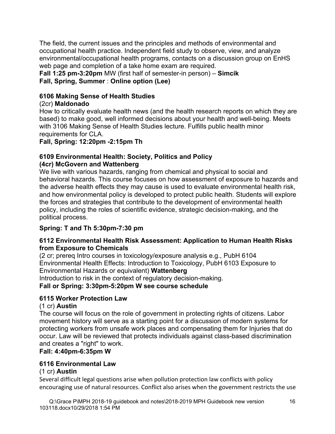The field, the current issues and the principles and methods of environmental and occupational health practice. Independent field study to observe, view, and analyze environmental/occupational health programs, contacts on a discussion group on EnHS web page and completion of a take home exam are required.

**Fall 1:25 pm-3:20pm** MW (first half of semester-in person) – **Simcik Fall, Spring, Summer** : **Online option (Lee)**

#### **6106 Making Sense of Health Studies**

#### (2cr) **Maldonado**

How to critically evaluate health news (and the health research reports on which they are based) to make good, well informed decisions about your health and well-being. Meets with 3106 Making Sense of Health Studies lecture. Fulfills public health minor requirements for CLA.

#### **Fall, Spring: 12:20pm -2:15pm Th**

#### **6109 Environmental Health: Society, Politics and Policy (4cr) McGovern and Wattenberg**

We live with various hazards, ranging from chemical and physical to social and behavioral hazards. This course focuses on how assessment of exposure to hazards and the adverse health effects they may cause is used to evaluate environmental health risk, and how environmental policy is developed to protect public health. Students will explore the forces and strategies that contribute to the development of environmental health policy, including the roles of scientific evidence, strategic decision-making, and the political process.

# **Spring: T and Th 5:30pm-7:30 pm**

#### **6112 Environmental Health Risk Assessment: Application to Human Health Risks from Exposure to Chemicals**

(2 cr; prereq Intro courses in toxicology/exposure analysis e.g., PubH 6104 Environmental Health Effects: Introduction to Toxicology, PubH 6103 Exposure to Environmental Hazards or equivalent) **Wattenberg**

Introduction to risk in the context of regulatory decision-making.

# **Fall or Spring: 3:30pm-5:20pm W see course schedule**

# **6115 Worker Protection Law**

# (1 cr) **Austin**

The course will focus on the role of government in protecting rights of citizens. Labor movement history will serve as a starting point for a discussion of modern systems for protecting workers from unsafe work places and compensating them for Injuries that do occur. Law will be reviewed that protects individuals against class-based discrimination and creates a "right" to work.

# **Fall: 4:40pm-6:35pm W**

# **6116 Environmental Law**

#### (1 cr) **Austin**

Several difficult legal questions arise when pollution protection law conflicts with policy encouraging use of natural resources. Conflict also arises when the government restricts the use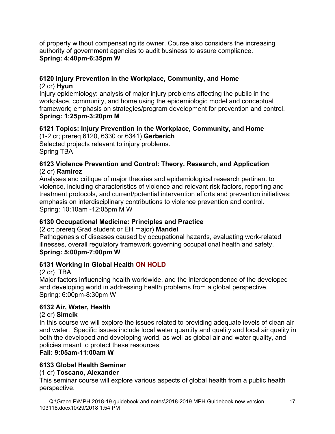of property without compensating its owner. Course also considers the increasing authority of government agencies to audit business to assure compliance. **Spring: 4:40pm-6:35pm W** 

# **6120 Injury Prevention in the Workplace, Community, and Home**

(2 cr) **Hyun** Injury epidemiology: analysis of major injury problems affecting the public in the workplace, community, and home using the epidemiologic model and conceptual framework; emphasis on strategies/program development for prevention and control. **Spring: 1:25pm-3:20pm M**

#### **6121 Topics: Injury Prevention in the Workplace, Community, and Home**  (1-2 cr; prereq 6120, 6330 or 6341) **Gerberich**

Selected projects relevant to injury problems. Spring TBA

#### **6123 Violence Prevention and Control: Theory, Research, and Application**  (2 cr) **Ramirez**

Analyses and critique of major theories and epidemiological research pertinent to violence, including characteristics of violence and relevant risk factors, reporting and treatment protocols, and current/potential intervention efforts and prevention initiatives; emphasis on interdisciplinary contributions to violence prevention and control. Spring: 10:10am -12:05pm M W

# **6130 Occupational Medicine: Principles and Practice**

(2 cr; prereq Grad student or EH major) **Mandel**

Pathogenesis of diseases caused by occupational hazards, evaluating work-related illnesses, overall regulatory framework governing occupational health and safety. **Spring: 5:00pm-7:00pm W** 

# **6131 Working in Global Health ON HOLD**

# (2 cr) TBA

Major factors influencing health worldwide, and the interdependence of the developed and developing world in addressing health problems from a global perspective. Spring: 6:00pm-8:30pm W

# **6132 Air, Water, Health**

#### (2 cr) **Simcik**

In this course we will explore the issues related to providing adequate levels of clean air and water. Specific issues include local water quantity and quality and local air quality in both the developed and developing world, as well as global air and water quality, and policies meant to protect these resources.

#### **Fall: 9:05am-11:00am W**

# **6133 Global Health Seminar**

#### (1 cr) **Toscano, Alexander**

This seminar course will explore various aspects of global health from a public health perspective.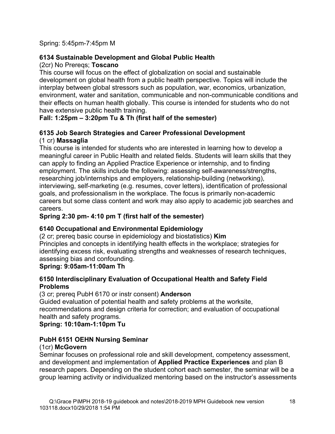Spring: 5:45pm-7:45pm M

#### **6134 Sustainable Development and Global Public Health**

(2cr) No Prereqs; **Toscano**

This course will focus on the effect of globalization on social and sustainable development on global health from a public health perspective. Topics will include the interplay between global stressors such as population, war, economics, urbanization, environment, water and sanitation, communicable and non-communicable conditions and their effects on human health globally. This course is intended for students who do not have extensive public health training.

#### **Fall: 1:25pm – 3:20pm Tu & Th (first half of the semester)**

#### **6135 Job Search Strategies and Career Professional Development**  (1 cr) **Massaglia**

This course is intended for students who are interested in learning how to develop a meaningful career in Public Health and related fields. Students will learn skills that they can apply to finding an Applied Practice Experience or internship, and to finding employment. The skills include the following: assessing self-awareness/strengths, researching job/internships and employers, relationship-building (networking), interviewing, self-marketing (e.g. resumes, cover letters), identification of professional goals, and professionalism in the workplace. The focus is primarily non-academic careers but some class content and work may also apply to academic job searches and careers.

#### **Spring 2:30 pm- 4:10 pm T (first half of the semester)**

# **6140 Occupational and Environmental Epidemiology**

(2 cr; prereq basic course in epidemiology and biostatistics) **Kim** Principles and concepts in identifying health effects in the workplace; strategies for identifying excess risk, evaluating strengths and weaknesses of research techniques, assessing bias and confounding.

# **Spring: 9:05am-11:00am Th**

#### **6150 Interdisciplinary Evaluation of Occupational Health and Safety Field Problems**

(3 cr; prereq PubH 6170 or instr consent) **Anderson**

Guided evaluation of potential health and safety problems at the worksite, recommendations and design criteria for correction; and evaluation of occupational health and safety programs.

#### **Spring: 10:10am-1:10pm Tu**

# **PubH 6151 OEHN Nursing Seminar**

#### (1cr) **McGovern**

Seminar focuses on professional role and skill development, competency assessment, and development and implementation of **Applied Practice Experiences** and plan B research papers. Depending on the student cohort each semester, the seminar will be a group learning activity or individualized mentoring based on the instructor's assessments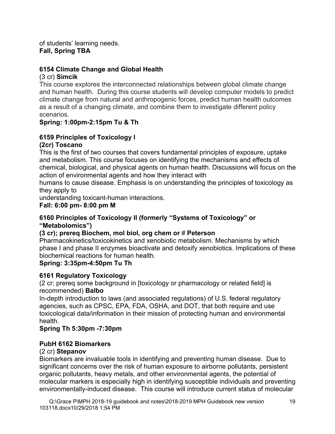of students' learning needs. **Fall, Spring TBA**

#### **6154 Climate Change and Global Health**

#### (3 cr) **Simcik**

This course explores the interconnected relationships between global climate change and human health. During this course students will develop computer models to predict climate change from natural and anthropogenic forces, predict human health outcomes as a result of a changing climate, and combine them to investigate different policy scenarios.

#### **Spring: 1:00pm-2:15pm Tu & Th**

#### **6159 Principles of Toxicology I (2cr) Toscano**

This is the first of two courses that covers fundamental principles of exposure, uptake and metabolism. This course focuses on identifying the mechanisms and effects of chemical, biological, and physical agents on human health. Discussions will focus on the action of environmental agents and how they interact with

humans to cause disease. Emphasis is on understanding the principles of toxicology as they apply to

understanding toxicant-human interactions.

**Fall: 6:00 pm- 8:00 pm M** 

#### **6160 Principles of Toxicology II (formerly "Systems of Toxicology" or "Metabolomics")**

#### **(3 cr); prereq Biochem, mol biol, org chem or** # **Peterson**

Pharmacokinetics/toxicokinetics and xenobiotic metabolism. Mechanisms by which phase I and phase II enzymes bioactivate and detoxify xenobiotics. Implications of these biochemical reactions for human health.

#### **Spring: 3:35pm-4:50pm Tu Th**

#### **6161 Regulatory Toxicology**

(2 cr; prereq some background in [toxicology or pharmacology or related field] is recommended) **Balbo**

In-depth introduction to laws (and associated regulations) of U.S. federal regulatory agencies, such as CPSC, EPA, FDA, OSHA, and DOT, that both require and use toxicological data/information in their mission of protecting human and environmental health.

#### **Spring Th 5:30pm -7:30pm**

#### **PubH 6162 Biomarkers**

#### (2 cr) **Stepanov**

Biomarkers are invaluable tools in identifying and preventing human disease. Due to significant concerns over the risk of human exposure to airborne pollutants, persistent organic pollutants, heavy metals, and other environmental agents, the potential of molecular markers is especially high in identifying susceptible individuals and preventing environmentally-induced disease. This course will introduce current status of molecular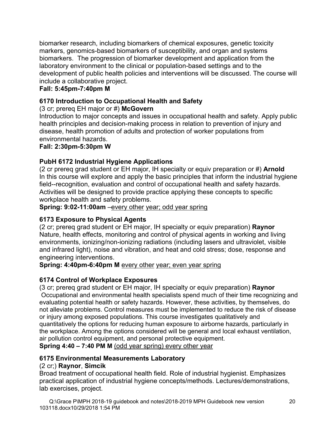biomarker research, including biomarkers of chemical exposures, genetic toxicity markers, genomics-based biomarkers of susceptibility, and organ and systems biomarkers. The progression of biomarker development and application from the laboratory environment to the clinical or population-based settings and to the development of public health policies and interventions will be discussed. The course will include a collaborative project.

#### **Fall: 5:45pm-7:40pm M**

#### **6170 Introduction to Occupational Health and Safety**

(3 cr; prereq EH major or #) **McGovern**

Introduction to major concepts and issues in occupational health and safety. Apply public health principles and decision-making process in relation to prevention of injury and disease, health promotion of adults and protection of worker populations from environmental hazards.

**Fall: 2:30pm-5:30pm W** 

#### **PubH 6172 Industrial Hygiene Applications**

(2 cr prereq grad student or EH major, IH specialty or equiv preparation or #) **Arnold** In this course will explore and apply the basic principles that inform the industrial hygiene field--recognition, evaluation and control of occupational health and safety hazards. Activities will be designed to provide practice applying these concepts to specific workplace health and safety problems.

**Spring: 9:02-11:00am** –every other year; odd year spring

#### **6173 Exposure to Physical Agents**

(2 cr; prereq grad student or EH major, IH specialty or equiv preparation) **Raynor** Nature, health effects, monitoring and control of physical agents in working and living environments, ionizing/non-ionizing radiations (including lasers and ultraviolet, visible and infrared light), noise and vibration, and heat and cold stress; dose, response and engineering interventions.

**Spring: 4:40pm-6:40pm M** every other year; even year spring

# **6174 Control of Workplace Exposures**

(3 cr; prereq grad student or EH major, IH specialty or equiv preparation) **Raynor** Occupational and environmental health specialists spend much of their time recognizing and evaluating potential health or safety hazards. However, these activities, by themselves, do not alleviate problems. Control measures must be implemented to reduce the risk of disease or injury among exposed populations. This course investigates qualitatively and quantitatively the options for reducing human exposure to airborne hazards, particularly in the workplace. Among the options considered will be general and local exhaust ventilation, air pollution control equipment, and personal protective equipment. **Spring 4:40 – 7:40 PM M** (odd year spring) every other year

**6175 Environmental Measurements Laboratory** 

# (2 cr;) **Raynor**, **Simcik**

Broad treatment of occupational health field. Role of industrial hygienist. Emphasizes practical application of industrial hygiene concepts/methods. Lectures/demonstrations, lab exercises, project.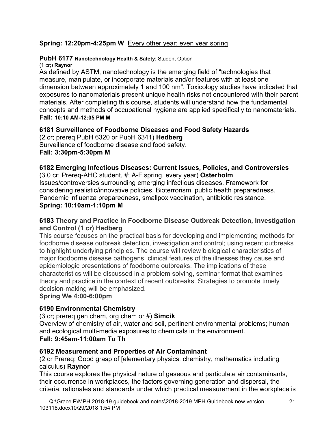#### **Spring: 12:20pm-4:25pm W** Every other year; even year spring

#### **PubH 6177 Nanotechnology Health & Safety**; Student Option

(1 cr;) **Raynor** 

As defined by ASTM, nanotechnology is the emerging field of "technologies that measure, manipulate, or incorporate materials and/or features with at least one dimension between approximately 1 and 100 nm". Toxicology studies have indicated that exposures to nanomaterials present unique health risks not encountered with their parent materials. After completing this course, students will understand how the fundamental concepts and methods of occupational hygiene are applied specifically to nanomaterials. **Fall: 10:10 AM-12:05 PM M**

#### **6181 Surveillance of Foodborne Diseases and Food Safety Hazards**

(2 cr; prereq PubH 6320 or PubH 6341) **Hedberg** Surveillance of foodborne disease and food safety. **Fall: 3:30pm-5:30pm M** 

# **6182 Emerging Infectious Diseases: Current Issues, Policies, and Controversies**

(3.0 cr; Prereq-AHC student, #; A-F spring, every year) **Osterholm** Issues/controversies surrounding emerging infectious diseases. Framework for considering realistic/innovative policies. Bioterrorism, public health preparedness. Pandemic influenza preparedness, smallpox vaccination, antibiotic resistance. **Spring: 10:10am-1:10pm M** 

#### **6183 Theory and Practice in Foodborne Disease Outbreak Detection, Investigation and Control (1 cr) Hedberg**

This course focuses on the practical basis for developing and implementing methods for foodborne disease outbreak detection, investigation and control; using recent outbreaks to highlight underlying principles. The course will review biological characteristics of major foodborne disease pathogens, clinical features of the illnesses they cause and epidemiologic presentations of foodborne outbreaks. The implications of these characteristics will be discussed in a problem solving, seminar format that examines theory and practice in the context of recent outbreaks. Strategies to promote timely decision-making will be emphasized.

#### **Spring We 4:00-6:00pm**

#### **6190 Environmental Chemistry**

(3 cr; prereq gen chem, org chem or #) **Simcik**

Overview of chemistry of air, water and soil, pertinent environmental problems; human and ecological multi-media exposures to chemicals in the environment.

#### **Fall: 9:45am-11:00am Tu Th**

#### **6192 Measurement and Properties of Air Contaminant**

(2 cr Prereq: Good grasp of [elementary physics, chemistry, mathematics including calculus) **Raynor**

This course explores the physical nature of gaseous and particulate air contaminants, their occurrence in workplaces, the factors governing generation and dispersal, the criteria, rationales and standards under which practical measurement in the workplace is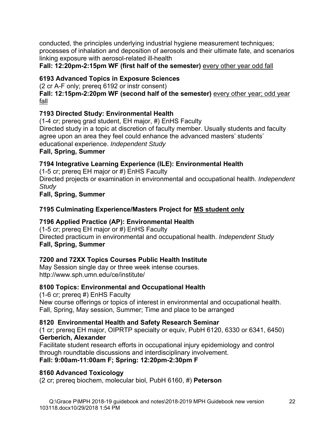conducted, the principles underlying industrial hygiene measurement techniques; processes of inhalation and deposition of aerosols and their ultimate fate, and scenarios linking exposure with aerosol-related ill-health

**Fall: 12:20pm-2:15pm WF (first half of the semester)** every other year odd fall

# **6193 Advanced Topics in Exposure Sciences**

(2 cr A-F only; prereq 6192 or instr consent)

Fall: 12:15pm-2:20pm WF (second half of the semester) **every other year; odd year** fall

# **7193 Directed Study: Environmental Health**

(1-4 cr; prereq grad student, EH major, #) EnHS Faculty Directed study in a topic at discretion of faculty member. Usually students and faculty agree upon an area they feel could enhance the advanced masters' students' educational experience. *Independent Study*

#### **Fall, Spring, Summer**

# **7194 Integrative Learning Experience (ILE): Environmental Health**

(1-5 cr; prereq EH major or #) EnHS Faculty Directed projects or examination in environmental and occupational health. *Independent Study* **Fall, Spring, Summer** 

# **7195 Culminating Experience/Masters Project for MS student only**

# **7196 Applied Practice (AP): Environmental Health**

(1-5 cr; prereq EH major or #) EnHS Faculty Directed practicum in environmental and occupational health. *Independent Study* **Fall, Spring, Summer** 

# **7200 and 72XX Topics Courses Public Health Institute**

May Session single day or three week intense courses. http://www.sph.umn.edu/ce/institute/

# **8100 Topics: Environmental and Occupational Health**

(1-6 cr; prereq #) EnHS Faculty New course offerings or topics of interest in environmental and occupational health. Fall, Spring, May session, Summer; Time and place to be arranged

# **8120 Environmental Health and Safety Research Seminar**

(1 cr; prereq EH major, OIPRTP specialty or equiv, PubH 6120, 6330 or 6341, 6450) **Gerberich, Alexander**

Facilitate student research efforts in occupational injury epidemiology and control through roundtable discussions and interdisciplinary involvement. **Fall: 9:00am-11:00am F; Spring: 12:20pm-2:30pm F** 

# **8160 Advanced Toxicology**

(2 cr; prereq biochem, molecular biol, PubH 6160, #) **Peterson**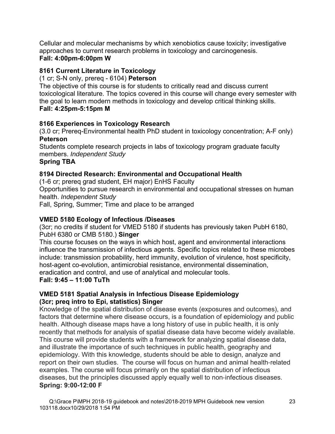Cellular and molecular mechanisms by which xenobiotics cause toxicity; investigative approaches to current research problems in toxicology and carcinogenesis.

#### **Fall: 4:00pm-6:00pm W**

#### **8161 Current Literature in Toxicology**

#### (1 cr; S-N only, prereq - 6104) **Peterson**

The objective of this course is for students to critically read and discuss current toxicological literature. The topics covered in this course will change every semester with the goal to learn modern methods in toxicology and develop critical thinking skills. **Fall: 4:25pm-5:15pm M** 

#### **8166 Experiences in Toxicology Research**

(3.0 cr; Prereq-Environmental health PhD student in toxicology concentration; A-F only) **Peterson**

Students complete research projects in labs of toxicology program graduate faculty members. *Independent Study* 

#### **Spring TBA**

#### **8194 Directed Research: Environmental and Occupational Health**

(1-6 cr; prereq grad student, EH major) EnHS Faculty

Opportunities to pursue research in environmental and occupational stresses on human health. *Independent Study*

Fall, Spring, Summer; Time and place to be arranged

#### **VMED 5180 Ecology of Infectious /Diseases**

(3cr; no credits if student for VMED 5180 if students has previously taken PubH 6180, PubH 6380 or CMB 5180.) **Singer**

This course focuses on the ways in which host, agent and environmental interactions influence the transmission of infectious agents. Specific topics related to these microbes include: transmission probability, herd immunity, evolution of virulence, host specificity, host-agent co-evolution, antimicrobial resistance, environmental dissemination, eradication and control, and use of analytical and molecular tools.

#### **Fall: 9:45 – 11:00 TuTh**

#### **VMED 5181 Spatial Analysis in Infectious Disease Epidemiology (3cr; preq intro to Epi, statistics) Singer**

Knowledge of the spatial distribution of disease events (exposures and outcomes), and factors that determine where disease occurs, is a foundation of epidemiology and public health. Although disease maps have a long history of use in public health, it is only recently that methods for analysis of spatial disease data have become widely available. This course will provide students with a framework for analyzing spatial disease data, and illustrate the importance of such techniques in public health, geography and epidemiology. With this knowledge, students should be able to design, analyze and report on their own studies. The course will focus on human and animal health-related examples. The course will focus primarily on the spatial distribution of infectious diseases, but the principles discussed apply equally well to non-infectious diseases. **Spring: 9:00-12:00 F**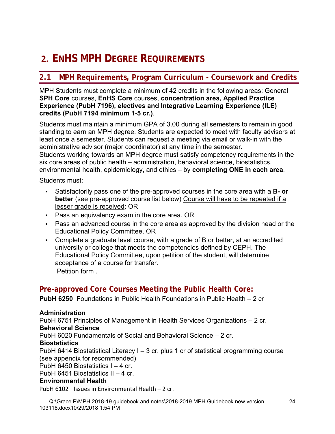# **2. ENHS MPH DEGREE REQUIREMENTS**

# **2.1 MPH Requirements, Program Curriculum - Coursework and Credits**

MPH Students must complete a minimum of 42 credits in the following areas: General **SPH Core** courses, **EnHS Core** courses, **concentration area, Applied Practice Experience (PubH 7196), electives and Integrative Learning Experience (ILE) credits (PubH 7194 minimum 1-5 cr.)**.

Students must maintain a minimum GPA of 3.00 during all semesters to remain in good standing to earn an MPH degree. Students are expected to meet with faculty advisors at least once a semester. Students can request a meeting via email or walk-in with the administrative advisor (major coordinator) at any time in the semester**.**  Students working towards an MPH degree must satisfy competency requirements in the six core areas of public health – administration, behavioral science, biostatistics, environmental health, epidemiology, and ethics – by **completing ONE in each area**.

Students must:

- Satisfactorily pass one of the pre-approved courses in the core area with a **B- or better** (see pre-approved course list below) Course will have to be repeated if a lesser grade is received; OR
- Pass an equivalency exam in the core area. OR
- Pass an advanced course in the core area as approved by the division head or the Educational Policy Committee, OR
- Complete a graduate level course, with a grade of B or better, at an accredited university or college that meets the competencies defined by CEPH. The Educational Policy Committee, upon petition of the student, will determine acceptance of a course for transfer. Petition form .

# **Pre-approved Core Courses Meeting the Public Health Core:**

**PubH 6250** Foundations in Public Health Foundations in Public Health – 2 cr

#### **Administration**

PubH 6751 Principles of Management in Health Services Organizations – 2 cr.

#### **Behavioral Science**

PubH 6020 Fundamentals of Social and Behavioral Science – 2 cr.

#### **Biostatistics**

PubH 6414 Biostatistical Literacy I – 3 cr. plus 1 cr of statistical programming course (see appendix for recommended)

PubH 6450 Biostatistics  $I - 4$  cr.

PubH 6451 Biostatistics II – 4 cr.

#### **Environmental Health**

PubH 6102 Issues in Environmental Health – 2 cr.

Q:\Grace P\MPH 2018-19 guidebook and notes\2018-2019 MPH Guidebook new version 103118.docx10/29/2018 1:54 PM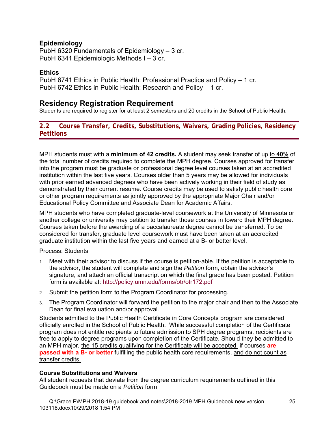#### **Epidemiology**

PubH 6320 Fundamentals of Epidemiology – 3 cr. PubH 6341 Epidemiologic Methods I – 3 cr.

#### **Ethics**

PubH 6741 Ethics in Public Health: Professional Practice and Policy – 1 cr. PubH 6742 Ethics in Public Health: Research and Policy – 1 cr.

#### **Residency Registration Requirement**

Students are required to register for at least 2 semesters and 20 credits in the School of Public Health.

#### **2.2 Course Transfer, Credits, Substitutions, Waivers, Grading Policies, Residency Petitions**

MPH students must with a **minimum of 42 credits.** A student may seek transfer of up to **40%** of the total number of credits required to complete the MPH degree. Courses approved for transfer into the program must be graduate or professional degree level courses taken at an accredited institution within the last five years. Courses older than 5 years may be allowed for individuals with prior earned advanced degrees who have been actively working in their field of study as demonstrated by their current resume. Course credits may be used to satisfy public health core or other program requirements as jointly approved by the appropriate Major Chair and/or Educational Policy Committee and Associate Dean for Academic Affairs.

MPH students who have completed graduate-level coursework at the University of Minnesota or another college or university may petition to transfer those courses in toward their MPH degree. Courses taken before the awarding of a baccalaureate degree cannot be transferred. To be considered for transfer, graduate level coursework must have been taken at an accredited graduate institution within the last five years and earned at a B- or better level.

#### Process: Students

- 1. Meet with their advisor to discuss if the course is petition-able. If the petition is acceptable to the advisor, the student will complete and sign the *Petition* form, obtain the advisor's signature, and attach an official transcript on which the final grade has been posted. Petition form is available at: http://policy.umn.edu/forms/otr/otr172.pdf
- 2. Submit the petition form to the Program Coordinator for processing.
- 3. The Program Coordinator will forward the petition to the major chair and then to the Associate Dean for final evaluation and/or approval.

Students admitted to the Public Health Certificate in Core Concepts program are considered officially enrolled in the School of Public Health. While successful completion of the Certificate program does not entitle recipients to future admission to SPH degree programs, recipients are free to apply to degree programs upon completion of the Certificate. Should they be admitted to an MPH major, the 15 credits qualifying for the Certificate will be accepted if courses **are passed with a B- or better** fulfilling the public health core requirements, and do not count as transfer credits.

#### **Course Substitutions and Waivers**

All student requests that deviate from the degree curriculum requirements outlined in this Guidebook must be made on a *Petition* form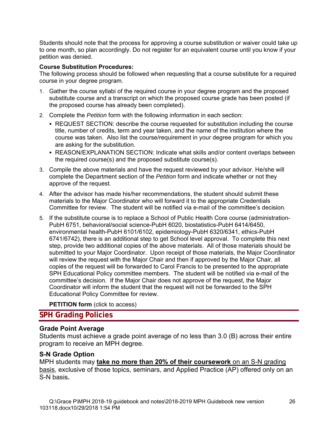Students should note that the process for approving a course substitution or waiver could take up to one month, so plan accordingly. Do not register for an equivalent course until you know if your petition was denied.

#### **Course Substitution Procedures:**

The following process should be followed when requesting that a course substitute for a required course in your degree program.

- 1. Gather the course syllabi of the required course in your degree program and the proposed substitute course and a transcript on which the proposed course grade has been posted (if the proposed course has already been completed).
- 2. Complete the *Petition* form with the following information in each section:
	- REQUEST SECTION: describe the course requested for substitution including the course title, number of credits, term and year taken, and the name of the institution where the course was taken. Also list the course/requirement in your degree program for which you are asking for the substitution.
	- REASON/EXPLANATION SECTION: Indicate what skills and/or content overlaps between the required course(s) and the proposed substitute course(s).
- 3. Compile the above materials and have the request reviewed by your advisor. He/she will complete the Department section of the *Petition* form and indicate whether or not they approve of the request.
- 4. After the advisor has made his/her recommendations, the student should submit these materials to the Major Coordinator who will forward it to the appropriate Credentials Committee for review. The student will be notified via e-mail of the committee's decision.
- 5. If the substitute course is to replace a School of Public Health Core course (administration-PubH 6751, behavioral/social science-PubH 6020, biostatistics-PubH 6414/6450, environmental health-PubH 6101/6102, epidemiology-PubH 6320/6341, ethics-PubH 6741/6742), there is an additional step to get School level approval. To complete this next step, provide two additional copies of the above materials. All of those materials should be submitted to your Major Coordinator. Upon receipt of those materials, the Major Coordinator will review the request with the Major Chair and then if approved by the Major Chair, all copies of the request will be forwarded to Carol Francis to be presented to the appropriate SPH Educational Policy committee members. The student will be notified via e-mail of the committee's decision. If the Major Chair does not approve of the request, the Major Coordinator will inform the student that the request will not be forwarded to the SPH Educational Policy Committee for review.

**PETITION form** (click to access)

#### **SPH Grading Policies**

#### **Grade Point Average**

Students must achieve a grade point average of no less than 3.0 (B) across their entire program to receive an MPH degree.

#### **S-N Grade Option**

MPH students may **take no more than 20% of their coursework** on an S-N grading basis, exclusive of those topics, seminars, and Applied Practice (AP) offered only on an S-N basis**.**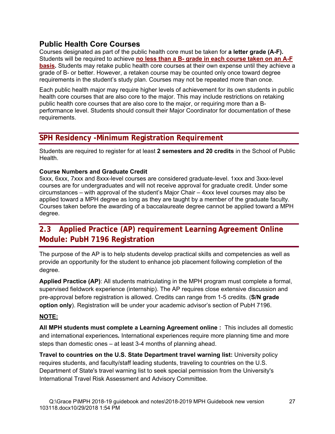# **Public Health Core Courses**

Courses designated as part of the public health core must be taken for **a letter grade (A-F).** Students will be required to achieve **no less than a B- grade in each course taken on an A-F basis.** Students may retake public health core courses at their own expense until they achieve a grade of B- or better. However, a retaken course may be counted only once toward degree requirements in the student's study plan. Courses may not be repeated more than once.

Each public health major may require higher levels of achievement for its own students in public health core courses that are also core to the major. This may include restrictions on retaking public health core courses that are also core to the major, or requiring more than a Bperformance level. Students should consult their Major Coordinator for documentation of these requirements.

# **SPH Residency -Minimum Registration Requirement**

Students are required to register for at least **2 semesters and 20 credits** in the School of Public Health.

#### **Course Numbers and Graduate Credit**

5xxx, 6xxx, 7xxx and 8xxx-level courses are considered graduate-level. 1xxx and 3xxx-level courses are for undergraduates and will not receive approval for graduate credit. Under some circumstances – with approval of the student's Major Chair – 4xxx level courses may also be applied toward a MPH degree as long as they are taught by a member of the graduate faculty. Courses taken before the awarding of a baccalaureate degree cannot be applied toward a MPH degree.

# **2.3 Applied Practice (AP) requirement Learning Agreement Online Module: PubH 7196 Registration**

The purpose of the AP is to help students develop practical skills and competencies as well as provide an opportunity for the student to enhance job placement following completion of the degree.

**Applied Practice (AP)**: All students matriculating in the MPH program must complete a formal, supervised fieldwork experience (internship). The AP requires close extensive discussion and pre-approval before registration is allowed. Credits can range from 1-5 credits. (**S/N grade option only**). Registration will be under your academic advisor's section of PubH 7196.

#### **NOTE:**

**All MPH students must complete a Learning Agreement online :** This includes all domestic and international experiences*.* International experiences require more planning time and more steps than domestic ones – at least 3-4 months of planning ahead.

**Travel to countries on the U.S. State Department travel warning list:** University policy requires students, and faculty/staff leading students, traveling to countries on the U.S. Department of State's travel warning list to seek special permission from the University's International Travel Risk Assessment and Advisory Committee.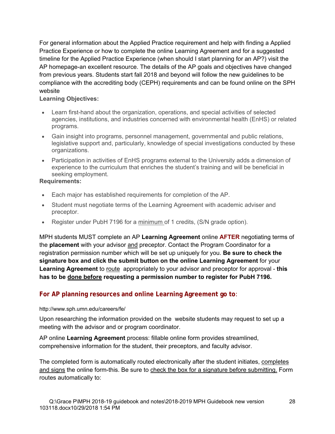For general information about the Applied Practice requirement and help with finding a Applied Practice Experience or how to complete the online Learning Agreement and for a suggested timeline for the Applied Practice Experience (when should I start planning for an AP?) visit the AP homepage-an excellent resource. The details of the AP goals and objectives have changed from previous years. Students start fall 2018 and beyond will follow the new guidelines to be compliance with the accrediting body (CEPH) requirements and can be found online on the SPH website

#### **Learning Objectives:**

- Learn first-hand about the organization, operations, and special activities of selected agencies, institutions, and industries concerned with environmental health (EnHS) or related programs.
- Gain insight into programs, personnel management, governmental and public relations, legislative support and, particularly, knowledge of special investigations conducted by these organizations.
- Participation in activities of EnHS programs external to the University adds a dimension of experience to the curriculum that enriches the student's training and will be beneficial in seeking employment.

#### **Requirements:**

- Each major has established requirements for completion of the AP.
- Student must negotiate terms of the Learning Agreement with academic adviser and preceptor.
- Register under PubH 7196 for a minimum of 1 credits, (S/N grade option).

MPH students MUST complete an AP **Learning Agreement** online **AFTER** negotiating terms of the **placement** with your advisor and preceptor. Contact the Program Coordinator for a registration permission number which will be set up uniquely for you. **Be sure to check the signature box and click the submit button on the online Learning Agreement** for your **Learning Agreement** to route appropriately to your advisor and preceptor for approval - **this has to be done before requesting a permission number to register for PubH 7196.** 

#### **For AP planning resources and online Learning Agreement go to**:

#### http://www.sph.umn.edu/careers/fe/

Upon researching the information provided on the website students may request to set up a meeting with the advisor and or program coordinator.

AP online **Learning Agreement** process: fillable online form provides streamlined, comprehensive information for the student, their preceptors, and faculty advisor.

The completed form is automatically routed electronically after the student initiates, completes and signs the online form-this. Be sure to check the box for a signature before submitting. Form routes automatically to: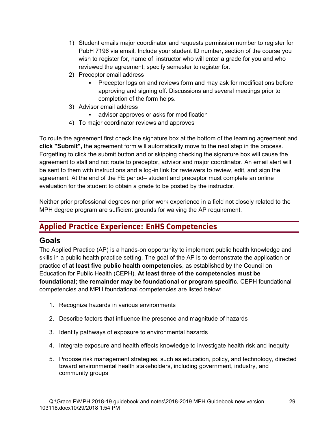- 1) Student emails major coordinator and requests permission number to register for PubH 7196 via email. Include your student ID number, section of the course you wish to register for, name of instructor who will enter a grade for you and who reviewed the agreement; specify semester to register for.
- 2) Preceptor email address
	- Preceptor logs on and reviews form and may ask for modifications before approving and signing off. Discussions and several meetings prior to completion of the form helps.
- 3) Advisor email address
	- advisor approves or asks for modification
- 4) To major coordinator reviews and approves

To route the agreement first check the signature box at the bottom of the learning agreement and **click "Submit",** the agreement form will automatically move to the next step in the process. Forgetting to click the submit button and or skipping checking the signature box will cause the agreement to stall and not route to preceptor, advisor and major coordinator. An email alert will be sent to them with instructions and a log-in link for reviewers to review, edit, and sign the agreement. At the end of the FE period– student and preceptor must complete an online evaluation for the student to obtain a grade to be posted by the instructor.

Neither prior professional degrees nor prior work experience in a field not closely related to the MPH degree program are sufficient grounds for waiving the AP requirement.

# **Applied Practice Experience: EnHS Competencies**

# **Goals**

The Applied Practice (AP) is a hands-on opportunity to implement public health knowledge and skills in a public health practice setting. The goal of the AP is to demonstrate the application or practice of **at least five public health competencies**, as established by the Council on Education for Public Health (CEPH). **At least three of the competencies must be foundational; the remainder may be foundational or program specific**. CEPH foundational competencies and MPH foundational competencies are listed below:

- 1. Recognize hazards in various environments
- 2. Describe factors that influence the presence and magnitude of hazards
- 3. Identify pathways of exposure to environmental hazards
- 4. Integrate exposure and health effects knowledge to investigate health risk and inequity
- 5. Propose risk management strategies, such as education, policy, and technology, directed toward environmental health stakeholders, including government, industry, and community groups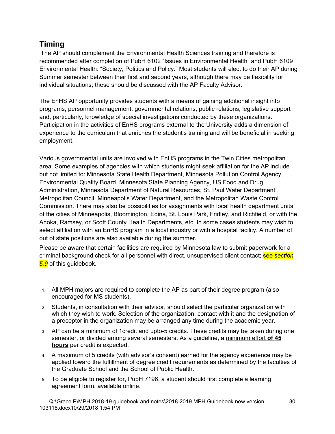# **Timing**

The AP should complement the Environmental Health Sciences training and therefore is recommended after completion of PubH 6102 "Issues in Environmental Health" and PubH 6109 Environmental Health: "Society, Politics and Policy." Most students will elect to do their AP during Summer semester between their first and second years, although there may be flexibility for individual situations; these should be discussed with the AP Faculty Advisor.

The EnHS AP opportunity provides students with a means of gaining additional insight into programs, personnel management, governmental relations, public relations, legislative support and, particularly, knowledge of special investigations conducted by these organizations. Participation in the activities of EnHS programs external to the University adds a dimension of experience to the curriculum that enriches the student's training and will be beneficial in seeking employment.

Various governmental units are involved with EnHS programs in the Twin Cities metropolitan area. Some examples of agencies with which students might seek affiliation for the AP include but not limited to: Minnesota State Health Department, Minnesota Pollution Control Agency, Environmental Quality Board, Minnesota State Planning Agency, US Food and Drug Administration, Minnesota Department of Natural Resources, St. Paul Water Department, Metropolitan Council, Minneapolis Water Department, and the Metropolitan Waste Control Commission. There may also be possibilities for assignments with local health department units of the cities of Minneapolis, Bloomington, Edina, St. Louis Park, Fridley, and Richfield, or with the Anoka, Ramsey, or Scott County Health Departments, etc. In some cases students may wish to select affiliation with an EnHS program in a local industry or with a hospital facility. A number of out of state positions are also available during the summer.

Please be aware that certain facilities are required by Minnesota law to submit paperwork for a criminal background check for all personnel with direct, unsupervised client contact; see *section 5.9* of this guidebook.

- 1. All MPH majors are required to complete the AP as part of their degree program (also encouraged for MS students).
- 2. Students, in consultation with their advisor, should select the particular organization with which they wish to work. Selection of the organization, contact with it and the designation of a preceptor in the organization may be arranged any time during the academic year.
- 3. AP can be a minimum of 1credit and upto-5 credits. These credits may be taken during one semester, or divided among several semesters. As a guideline, a minimum effort **of 45 hours** per credit is expected.
- 4. A maximum of 5 credits (with advisor's consent) earned for the agency experience may be applied toward the fulfillment of degree credit requirements as determined by the faculties of the Graduate School and the School of Public Health.
- 5. To be eligible to register for, PubH 7196, a student should first complete a learning agreement form, available online.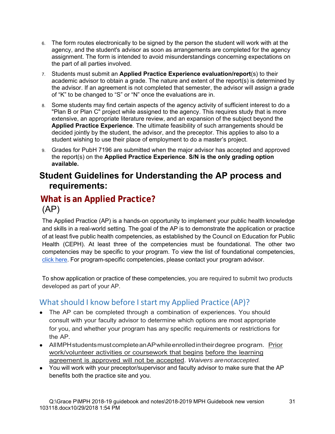- 6. The form routes electronically to be signed by the person the student will work with at the agency, and the student's advisor as soon as arrangements are completed for the agency assignment. The form is intended to avoid misunderstandings concerning expectations on the part of all parties involved.
- 7. Students must submit an **Applied Practice Experience evaluation/report**(s) to their academic advisor to obtain a grade. The nature and extent of the report(s) is determined by the advisor. If an agreement is not completed that semester, the advisor will assign a grade of "K" to be changed to "S" or "N" once the evaluations are in.
- 8. Some students may find certain aspects of the agency activity of sufficient interest to do a "Plan B or Plan C" project while assigned to the agency. This requires study that is more extensive, an appropriate literature review, and an expansion of the subject beyond the **Applied Practice Experience**. The ultimate feasibility of such arrangements should be decided jointly by the student, the advisor, and the preceptor. This applies to also to a student wishing to use their place of employment to do a master's project.
- 9. Grades for PubH 7196 are submitted when the major advisor has accepted and approved the report(s) on the **Applied Practice Experience**. **S/N is the only grading option available.**

# **Student Guidelines for Understanding the AP process and requirements:**

# **What is an Applied Practice?**  (AP)

The Applied Practice (AP) is a hands-on opportunity to implement your public health knowledge and skills in a real-world setting. The goal of the AP is to demonstrate the application or practice of at least five public health competencies, as established by the Council on Education for Public Health (CEPH). At least three of the competencies must be foundational. The other two competencies may be specific to your program. To view the list of foundational competencies, click here. For program-specific competencies, please contact your program advisor.

To show application or practice of these competencies, you are required to submit two products developed as part of your AP.

# What should I know before I start my Applied Practice (AP)?

- The AP can be completed through a combination of experiences. You should consult with your faculty advisor to determine which options are most appropriate for you, and whether your program has any specific requirements or restrictions for the AP.
- All MPH students must complete an AP while enrolled in their degree program. Prior work/volunteer activities or coursework that begins before the learning agreement is approved will not be accepted. *Waivers are not accepted.*
- You will work with your preceptor/supervisor and faculty advisor to make sure that the AP benefits both the practice site and you.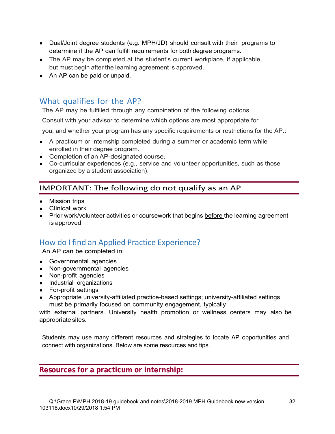- Dual/Joint degree students (e.g. MPH/JD) should consult with their programs to determine if the AP can fulfill requirements for both degree programs.
- The AP may be completed at the student's current workplace, if applicable, but must begin after the learning agreement is approved.
- An AP can be paid or unpaid.

# What qualifies for the AP?

The AP may be fulfilled through any combination of the following options.

Consult with your advisor to determine which options are most appropriate for

you, and whether your program has any specific requirements or restrictions for the AP.:

- A practicum or internship completed during a summer or academic term while enrolled in their degree program.
- Completion of an AP-designated course.
- Co-curricular experiences (e.g., service and volunteer opportunities, such as those organized by a student association).

# IMPORTANT: The following do not qualify as an AP

- Mission trips
- Clinical work
- Prior work/volunteer activities or coursework that begins before the learning agreement is approved

# How do I find an Applied Practice Experience?

An AP can be completed in:

- Governmental agencies
- Non-governmental agencies
- Non-profit agencies
- Industrial organizations
- For-profit settings
- Appropriate university-affiliated practice-based settings; university-affiliated settings must be primarily focused on community engagement, typically

with external partners. University health promotion or wellness centers may also be appropriate sites.

Students may use many different resources and strategies to locate AP opportunities and connect with organizations. Below are some resources and tips.

**Resources for a practicum or internship:**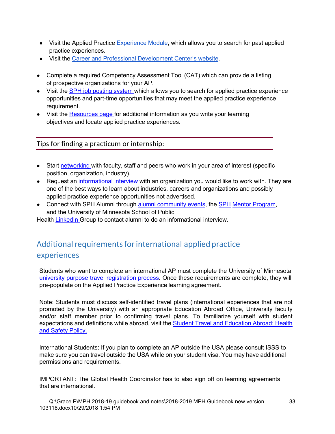- Visit the Applied Practice Experience Module, which allows you to search for past applied practice experiences.
- Visit the Career and Professional Development Center's website.
- Complete a required Competency Assessment Tool (CAT) which can provide a listing of prospective organizations for your AP.
- Visit the SPH job posting system which allows you to search for applied practice experience opportunities and part-time opportunities that may meet the applied practice experience requirement.
- Visit the Resources page for additional information as you write your learning objectives and locate applied practice experiences.

Tips for finding a practicum or internship:

- Start networking with faculty, staff and peers who work in your area of interest (specific position, organization, industry).
- Request an informational interview with an organization you would like to work with. They are one of the best ways to learn about industries, careers and organizations and possibly applied practice experience opportunities not advertised.
- Connect with SPH Alumni through alumni community events, the SPH Mentor Program, and the University of Minnesota School of Public

Health LinkedIn Group to contact alumni to do an informational interview.

# Additional requirements for international applied practice experiences

Students who want to complete an international AP must complete the University of Minnesota university purpose travel registration process. Once these requirements are complete, they will pre-populate on the Applied Practice Experience learning agreement.

Note: Students must discuss self-identified travel plans (international experiences that are not promoted by the University) with an appropriate Education Abroad Office, University faculty and/or staff member prior to confirming travel plans. To familiarize yourself with student expectations and definitions while abroad, visit the Student Travel and Education Abroad: Health and Safety Policy.

International Students: If you plan to complete an AP outside the USA please consult ISSS to make sure you can travel outside the USA while on your student visa. You may have additional permissions and requirements.

IMPORTANT: The Global Health Coordinator has to also sign off on learning agreements that are international.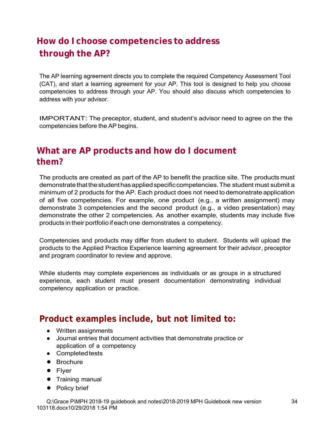# **How do I choose competencies to address through the AP?**

The AP learning agreement directs you to complete the required Competency Assessment Tool (CAT), and start a learning agreement for your AP. This tool is designed to help you choose competencies to address through your AP. You should also discuss which competencies to address with your advisor.

IMPORTANT: The preceptor, student, and student's advisor need to agree on the the competencies before the AP begins.

# **What are AP products and how do I document them?**

The products are created as part of the AP to benefit the practice site. The products must demonstrate that the student has applied specific competencies. The student must submit a minimum of 2 products for the AP. Each product does not need to demonstrate application of all five competencies. For example, one product (e.g., a written assignment) may demonstrate 3 competencies and the second product (e.g., a video presentation) may demonstrate the other 2 competencies. As another example, students may include five products in their portfolio if each one demonstrates a competency.

Competencies and products may differ from student to student. Students will upload the products to the Applied Practice Experience learning agreement for their advisor, preceptor and program coordinator to review and approve.

While students may complete experiences as individuals or as groups in a structured experience, each student must present documentation demonstrating individual competency application or practice.

# **Product examples include, but not limited to:**

- Written assignments
- Journal entries that document activities that demonstrate practice or application of a competency
- Completed tests
- Brochure
- Flyer
- Training manual
- Policy brief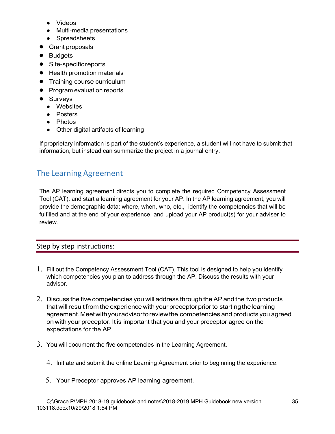- Videos
- Multi-media presentations
- Spreadsheets
- Grant proposals
- Budgets
- Site-specific reports
- Health promotion materials
- Training course curriculum
- Program evaluation reports
- Surveys
	- Websites
	- Posters
	- Photos
	- Other digital artifacts of learning

If proprietary information is part of the student's experience, a student will not have to submit that information, but instead can summarize the project in a journal entry.

# The Learning Agreement

The AP learning agreement directs you to complete the required Competency Assessment Tool (CAT), and start a learning agreement for your AP. In the AP learning agreement, you will provide the demographic data: where, when, who, etc., identify the competencies that will be fulfilled and at the end of your experience, and upload your AP product(s) for your adviser to review.

# Step by step instructions:

- 1. Fill out the Competency Assessment Tool (CAT). This tool is designed to help you identify which competencies you plan to address through the AP. Discuss the results with your advisor.
- 2. Discuss the five competencies you will address through the AP and the two products that will result from the experience with your preceptor prior to starting the learning agreement. Meet with your advisor to review the competencies and products you agreed on with your preceptor. It is important that you and your preceptor agree on the expectations for the AP.
- 3. You will document the five competencies in the Learning Agreement.
	- 4. Initiate and submit the online Learning Agreement prior to beginning the experience.
	- 5. Your Preceptor approves AP learning agreement.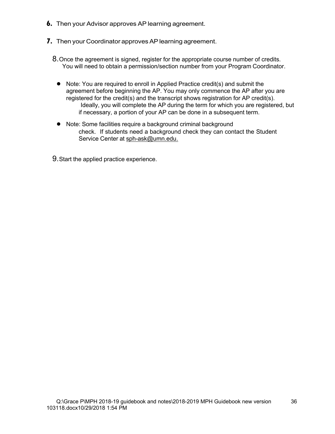- **6.** Then your Advisor approves AP learning agreement.
- **7.** Then your Coordinator approves AP learning agreement.
	- 8. Once the agreement is signed, register for the appropriate course number of credits. You will need to obtain a permission/section number from your Program Coordinator.
		- Note: You are required to enroll in Applied Practice credit(s) and submit the agreement before beginning the AP. You may only commence the AP after you are registered for the credit(s) and the transcript shows registration for AP credit(s). Ideally, you will complete the AP during the term for which you are registered, but if necessary, a portion of your AP can be done in a subsequent term.
		- Note: Some facilities require a background criminal background check. If students need a background check they can contact the Student Service Center at sph-ask@umn.edu.
	- 9. Start the applied practice experience.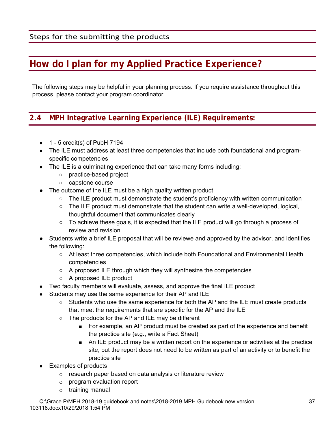# **How do I plan for my Applied Practice Experience?**

The following steps may be helpful in your planning process. If you require assistance throughout this process, please contact your program coordinator.

# **2.4 MPH Integrative Learning Experience (ILE) Requirements:**

- $\bullet$  1 5 credit(s) of PubH 7194
- The ILE must address at least three competencies that include both foundational and programspecific competencies
- The ILE is a culminating experience that can take many forms including:
	- practice-based project
	- capstone course
- The outcome of the ILE must be a high quality written product
	- The ILE product must demonstrate the student's proficiency with written communication
	- $\circ$  The ILE product must demonstrate that the student can write a well-developed, logical, thoughtful document that communicates clearly
	- $\circ$  To achieve these goals, it is expected that the ILE product will go through a process of review and revision
- Students write a brief ILE proposal that will be reviewe and approved by the advisor, and identifies the following:
	- At least three competencies, which include both Foundational and Environmental Health competencies
	- $\circ$  A proposed ILE through which they will synthesize the competencies
	- A proposed ILE product
- Two faculty members will evaluate, assess, and approve the final ILE product
- Students may use the same experience for their AP and ILE
	- Students who use the same experience for both the AP and the ILE must create products that meet the requirements that are specific for the AP and the ILE
	- The products for the AP and ILE may be different
		- For example, an AP product must be created as part of the experience and benefit the practice site (e.g., write a Fact Sheet)
		- An ILE product may be a written report on the experience or activities at the practice site, but the report does not need to be written as part of an activity or to benefit the practice site
- **Examples of products** 
	- o research paper based on data analysis or literature review
	- o program evaluation report
	- o training manual

Q:\Grace P\MPH 2018-19 guidebook and notes\2018-2019 MPH Guidebook new version 103118.docx10/29/2018 1:54 PM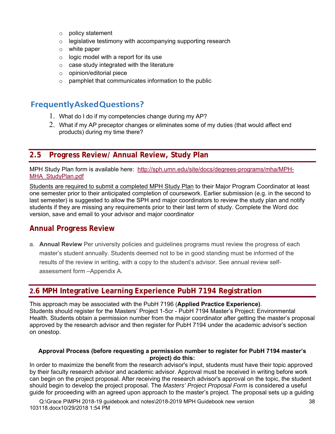- o policy statement
- $\circ$  legislative testimony with accompanying supporting research
- $\circ$  white paper
- $\circ$  logic model with a report for its use
- $\circ$  case study integrated with the literature
- o opinion/editorial piece
- $\circ$  pamphlet that communicates information to the public

# **Frequently Asked Questions?**

- 1. What do I do if my competencies change during my AP?
- 2. What if my AP preceptor changes or eliminates some of my duties (that would affect end products) during my time there?

# **2.5 Progress Review/ Annual Review, Study Plan**

MPH Study Plan form is available here: http://sph.umn.edu/site/docs/degrees-programs/mha/MPH-MHA\_StudyPlan.pdf

Students are required to submit a completed MPH Study Plan to their Major Program Coordinator at least one semester prior to their anticipated completion of coursework. Earlier submission (e.g. in the second to last semester) is suggested to allow the SPH and major coordinators to review the study plan and notify students if they are missing any requirements prior to their last term of study. Complete the Word doc version, save and email to your advisor and major coordinator

# **Annual Progress Review**

a. **Annual Review** Per university policies and guidelines programs must review the progress of each master's student annually. Students deemed not to be in good standing must be informed of the results of the review in writing, with a copy to the student's advisor. See annual review selfassessment form –Appendix A.

# **2.6 MPH Integrative Learning Experience PubH 7194 Registration**

This approach may be associated with the PubH 7196 (**Applied Practice Experience)**. Students should register for the Masters' Project 1-5cr - PubH 7194 Master's Project: Environmental Health. Students obtain a permission number from the major coordinator after getting the master's proposal approved by the research advisor and then register for PubH 7194 under the academic advisor's section on onestop.

#### **Approval Process (before requesting a permission number to register for PubH 7194 master's project) do this:**

In order to maximize the benefit from the research advisor's input, students must have their topic approved by their faculty research advisor and academic advisor. Approval must be received in writing before work can begin on the project proposal. After receiving the research advisor's approval on the topic, the student should begin to develop the project proposal. The *Masters' Project Proposal Form* is considered a useful guide for proceeding with an agreed upon approach to the master's project. The proposal sets up a guiding

Q:\Grace P\MPH 2018-19 guidebook and notes\2018-2019 MPH Guidebook new version 103118.docx10/29/2018 1:54 PM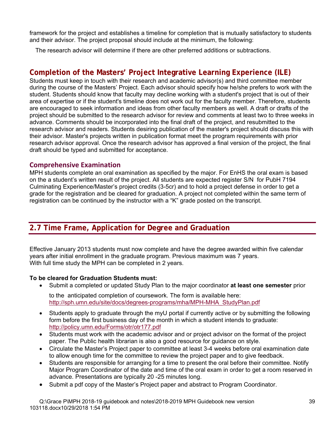framework for the project and establishes a timeline for completion that is mutually satisfactory to students and their advisor. The project proposal should include at the minimum, the following:

The research advisor will determine if there are other preferred additions or subtractions.

# **Completion of the Masters' Project Integrative Learning Experience (ILE)**

Students must keep in touch with their research and academic advisor(s) and third committee member during the course of the Masters' Project. Each advisor should specify how he/she prefers to work with the student. Students should know that faculty may decline working with a student's project that is out of their area of expertise or if the student's timeline does not work out for the faculty member. Therefore, students are encouraged to seek information and ideas from other faculty members as well. A draft or drafts of the project should be submitted to the research advisor for review and comments at least two to three weeks in advance. Comments should be incorporated into the final draft of the project, and resubmitted to the research advisor and readers. Students desiring publication of the master's project should discuss this with their advisor. Master's projects written in publication format meet the program requirements with prior research advisor approval. Once the research advisor has approved a final version of the project, the final draft should be typed and submitted for acceptance.

#### **Comprehensive Examination**

MPH students complete an oral examination as specified by the major. For EnHS the oral exam is based on the a student's written result of the project. All students are expected register S/N for PubH 7194 Culminating Experience/Master's project credits (3-5cr) and to hold a project defense in order to get a grade for the registration and be cleared for graduation. A project not completed within the same term of registration can be continued by the instructor with a "K" grade posted on the transcript.

# **2.7 Time Frame, Application for Degree and Graduation**

Effective January 2013 students must now complete and have the degree awarded within five calendar years after initial enrollment in the graduate program. Previous maximum was 7 years. With full time study the MPH can be completed in 2 years.

#### **To be cleared for Graduation Students must:**

Submit a completed or updated Study Plan to the major coordinator **at least one semester** prior

to the anticipated completion of coursework. The form is available here: http://sph.umn.edu/site/docs/degrees-programs/mha/MPH-MHA\_StudyPlan.pdf

- Students apply to graduate through the myU portal if currently active or by submitting the following form before the first business day of the month in which a student intends to graduate: http://policy.umn.edu/Forms/otr/otr177.pdf
- Students must work with the academic advisor and or project advisor on the format of the project paper. The Public health librarian is also a good resource for guidance on style.
- Circulate the Master's Project paper to committee at least 3-4 weeks before oral examination date to allow enough time for the committee to review the project paper and to give feedback.
- Students are responsible for arranging for a time to present the oral before their committee. Notify Major Program Coordinator of the date and time of the oral exam in order to get a room reserved in advance. Presentations are typically 20 -25 minutes long.
- Submit a pdf copy of the Master's Project paper and abstract to Program Coordinator.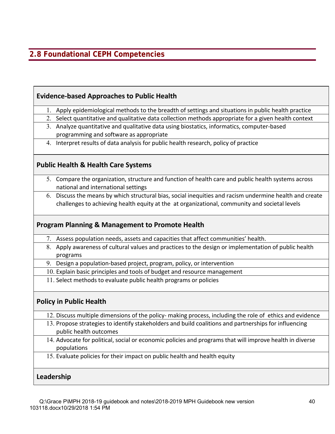# **2.8 Foundational CEPH Competencies**

| 1. Apply epidemiological methods to the breadth of settings and situations in public health practice                                                                                                                                        |
|---------------------------------------------------------------------------------------------------------------------------------------------------------------------------------------------------------------------------------------------|
| 2. Select quantitative and qualitative data collection methods appropriate for a given health context                                                                                                                                       |
| 3. Analyze quantitative and qualitative data using biostatics, informatics, computer-based                                                                                                                                                  |
| programming and software as appropriate                                                                                                                                                                                                     |
| 4. Interpret results of data analysis for public health research, policy of practice                                                                                                                                                        |
| <b>Public Health &amp; Health Care Systems</b>                                                                                                                                                                                              |
| 5. Compare the organization, structure and function of health care and public health systems across<br>national and international settings                                                                                                  |
| 6. Discuss the means by which structural bias, social inequities and racism undermine health and create                                                                                                                                     |
| challenges to achieving health equity at the at organizational, community and societal levels                                                                                                                                               |
| <b>Program Planning &amp; Management to Promote Health</b><br>7. Assess population needs, assets and capacities that affect communities' health.                                                                                            |
|                                                                                                                                                                                                                                             |
| 8. Apply awareness of cultural values and practices to the design or implementation of public health<br>programs                                                                                                                            |
| 9. Design a population-based project, program, policy, or intervention                                                                                                                                                                      |
| 10. Explain basic principles and tools of budget and resource management                                                                                                                                                                    |
| 11. Select methods to evaluate public health programs or policies                                                                                                                                                                           |
| <b>Policy in Public Health</b>                                                                                                                                                                                                              |
|                                                                                                                                                                                                                                             |
| 12. Discuss multiple dimensions of the policy- making process, including the role of ethics and evidence<br>13. Propose strategies to identify stakeholders and build coalitions and partnerships for influencing<br>public health outcomes |
| 14. Advocate for political, social or economic policies and programs that will improve health in diverse<br>populations                                                                                                                     |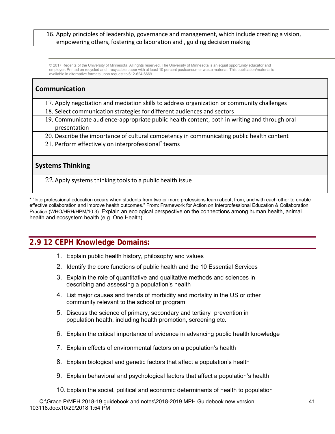#### 16. Apply principles of leadership, governance and management, which include creating a vision, empowering others, fostering collaboration and , guiding decision making

© 2017 Regents of the University of Minnesota. All rights reserved. The University of Minnesota is an equal opportunity educator and employer. Printed on recycled and recyclable paper with at least 10 percent postconsumer waste material. This publication/material is available in alternative formats upon request to 612-624-6669.

#### **Communication**

- 17. Apply negotiation and mediation skills to address organization or community challenges
- 18. Select communication strategies for different audiences and sectors
- 19. Communicate audience‐appropriate public health content, both in writing and through oral presentation
- 20. Describe the importance of cultural competency in communicating public health content
- 21. Perform effectively on interprofessional\* teams

#### **Systems Thinking**

22.Apply systems thinking tools to a public health issue

\* "Interprofessional education occurs when students from two or more professions learn about, from, and with each other to enable effective collaboration and improve health outcomes." From: Framework for Action on Interprofessional Education & Collaboration Practice (WHO/HRH/HPM/10.3). Explain an ecological perspective on the connections among human health, animal health and ecosystem health (e.g. One Health)

# **2.9 12 CEPH Knowledge Domains:**

- 1. Explain public health history, philosophy and values
- 2. Identify the core functions of public health and the 10 Essential Services
- 3. Explain the role of quantitative and qualitative methods and sciences in describing and assessing a population's health
- 4. List major causes and trends of morbidity and mortality in the US or other community relevant to the school or program
- 5. Discuss the science of primary, secondary and tertiary prevention in population health, including health promotion, screening etc.
- 6. Explain the critical importance of evidence in advancing public health knowledge
- 7. Explain effects of environmental factors on a population's health
- 8. Explain biological and genetic factors that affect a population's health
- 9. Explain behavioral and psychological factors that affect a population's health
- 10. Explain the social, political and economic determinants of health to population

Q:\Grace P\MPH 2018-19 guidebook and notes\2018-2019 MPH Guidebook new version 103118.docx10/29/2018 1:54 PM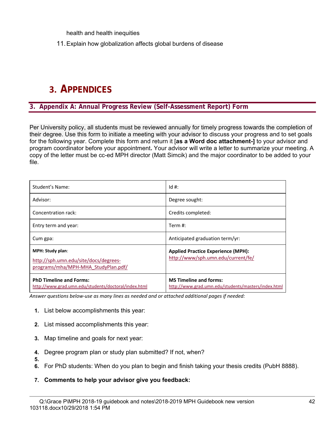health and health inequities

11. Explain how globalization affects global burdens of disease

# **3. APPENDICES**

#### **3. Appendix A: Annual Progress Review (Self-Assessment Report) Form**

Per University policy, all students must be reviewed annually for timely progress towards the completion of their degree. Use this form to initiate a meeting with your advisor to discuss your progress and to set goals for the following year. Complete this form and return it [**as a Word doc attachment-]** to your advisor and program coordinator before your appointment**.** Your advisor will write a letter to summarize your meeting. A copy of the letter must be cc-ed MPH director (Matt Simcik) and the major coordinator to be added to your file.

| Student's Name:                                                                                         | $Id#$ :                                                                              |
|---------------------------------------------------------------------------------------------------------|--------------------------------------------------------------------------------------|
| Advisor:                                                                                                | Degree sought:                                                                       |
| Concentration rack:                                                                                     | Credits completed:                                                                   |
| Entry term and year:                                                                                    | Term $#$ :                                                                           |
| Cum gpa:                                                                                                | Anticipated graduation term/yr:                                                      |
| <b>MPH: Study plan:</b><br>http://sph.umn.edu/site/docs/degrees-<br>programs/mha/MPH-MHA StudyPlan.pdf/ | <b>Applied Practice Experience (MPH):</b><br>http://www/sph.umn.edu/current/fe/      |
| <b>PhD Timeline and Forms:</b><br>http://www.grad.umn.edu/students/doctoral/index.html                  | <b>MS Timeline and forms:</b><br>http://www.grad.umn.edu/students/masters/index.html |

*Answer questions below‐use as many lines as needed and or attached additional pages if needed:* 

- **1.** List below accomplishments this year:
- **2.** List missed accomplishments this year:
- **3.** Map timeline and goals for next year:

**5.** 

- **4.** Degree program plan or study plan submitted? If not, when?
- **6.** For PhD students: When do you plan to begin and finish taking your thesis credits (PubH 8888).
- **7. Comments to help your advisor give you feedback:**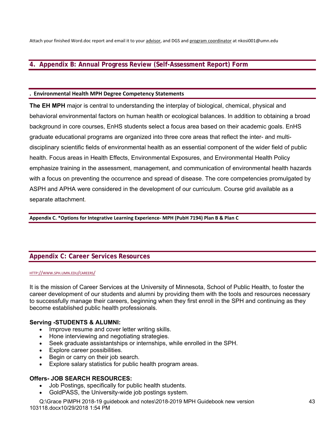Attach your finished Word.doc report and email it to your advisor, and DGS and program coordinator at nkosi001@umn.edu

#### **4. Appendix B: Annual Progress Review (Self-Assessment Report) Form**

#### **. Environmental Health MPH Degree Competency Statements**

**The EH MPH** major is central to understanding the interplay of biological, chemical, physical and behavioral environmental factors on human health or ecological balances. In addition to obtaining a broad background in core courses, EnHS students select a focus area based on their academic goals. EnHS graduate educational programs are organized into three core areas that reflect the inter- and multidisciplinary scientific fields of environmental health as an essential component of the wider field of public health. Focus areas in Health Effects, Environmental Exposures, and Environmental Health Policy emphasize training in the assessment, management, and communication of environmental health hazards with a focus on preventing the occurrence and spread of disease. The core competencies promulgated by ASPH and APHA were considered in the development of our curriculum. Course grid available as a separate attachment.

**Appendix C. \*Options for Integrative Learning Experience‐ MPH (PubH 7194) Plan B & Plan C** 

#### **Appendix C: Career Services Resources**

#### HTTP://WWW.SPH.UMN.EDU/CAREERS/

It is the mission of Career Services at the University of Minnesota, School of Public Health, to foster the career development of our students and alumni by providing them with the tools and resources necessary to successfully manage their careers, beginning when they first enroll in the SPH and continuing as they become established public health professionals.

#### **Serving -STUDENTS & ALUMNI:**

- Improve resume and cover letter writing skills.
- Hone interviewing and negotiating strategies.
- Seek graduate assistantships or internships, while enrolled in the SPH.
- Explore career possibilities.
- Begin or carry on their job search.
- Explore salary statistics for public health program areas.

#### **Offers- JOB SEARCH RESOURCES:**

- Job Postings, specifically for public health students.
- GoldPASS, the University-wide job postings system.

Q:\Grace P\MPH 2018-19 guidebook and notes\2018-2019 MPH Guidebook new version 103118.docx10/29/2018 1:54 PM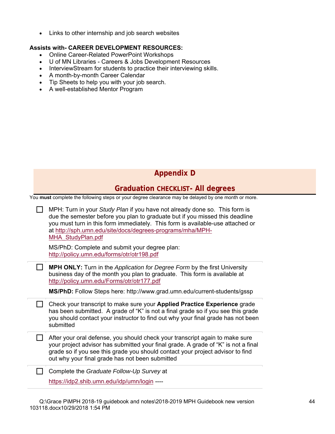Links to other internship and job search websites

#### **Assists with- CAREER DEVELOPMENT RESOURCES:**

- Online Career-Related PowerPoint Workshops
- U of MN Libraries Careers & Jobs Development Resources
- InterviewStream for students to practice their interviewing skills.
- A month-by-month Career Calendar
- Tip Sheets to help you with your job search.
- A well-established Mentor Program

| <b>Appendix D</b> |  |
|-------------------|--|
|-------------------|--|

#### **Graduation CHECKLIST- All degrees**

You **must** complete the following steps or your degree clearance may be delayed by one month or more.

| MPH: Turn in your Study Plan if you have not already done so. This form is<br>due the semester before you plan to graduate but if you missed this deadline<br>you must turn in this form immediately. This form is available-use attached or<br>at http://sph.umn.edu/site/docs/degrees-programs/mha/MPH-<br>MHA StudyPlan.pdf |
|--------------------------------------------------------------------------------------------------------------------------------------------------------------------------------------------------------------------------------------------------------------------------------------------------------------------------------|
| MS/PhD: Complete and submit your degree plan:<br>http://policy.umn.edu/forms/otr/otr198.pdf                                                                                                                                                                                                                                    |
| <b>MPH ONLY:</b> Turn in the Application for Degree Form by the first University<br>business day of the month you plan to graduate. This form is available at<br>http://policy.umn.edu/Forms/otr/otr177.pdf                                                                                                                    |
| MS/PhD: Follow Steps here: http://www.grad.umn.edu/current-students/gssp                                                                                                                                                                                                                                                       |
| Check your transcript to make sure your Applied Practice Experience grade<br>has been submitted. A grade of "K" is not a final grade so if you see this grade<br>you should contact your instructor to find out why your final grade has not been<br>submitted                                                                 |
| After your oral defense, you should check your transcript again to make sure<br>your project advisor has submitted your final grade. A grade of "K" is not a final<br>grade so if you see this grade you should contact your project advisor to find<br>out why your final grade has not been submitted                        |
| Complete the Graduate Follow-Up Survey at<br>https://idp2.shib.umn.edu/idp/umn/login ----                                                                                                                                                                                                                                      |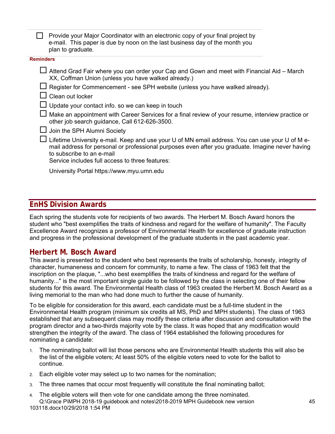$\Box$  Provide your Major Coordinator with an electronic copy of your final project by e-mail. This paper is due by noon on the last business day of the month you plan to graduate.

#### **Reminders**

| $\Box$ Attend Grad Fair where you can order your Cap and Gown and meet with Financial Aid – March |  |
|---------------------------------------------------------------------------------------------------|--|
| XX, Coffman Union (unless you have walked already.)                                               |  |

- $\Box$  Register for Commencement see SPH website (unless you have walked already).
- $\Box$  Clean out locker
- $\Box$  Update your contact info. so we can keep in touch
- $\Box$  Make an appointment with Career Services for a final review of your resume, interview practice or other job search guidance, Call 612-626-3500.
- $\Box$  Join the SPH Alumni Society
- $\Box$  Lifetime University e-mail. Keep and use your U of MN email address. You can use your U of M email address for personal or professional purposes even after you graduate. Imagine never having to subscribe to an e-mail

Service includes full access to three features:

University Portal https://www.myu.umn.edu

#### **EnHS Division Awards**

Each spring the students vote for recipients of two awards. The Herbert M. Bosch Award honors the student who "best exemplifies the traits of kindness and regard for the welfare of humanity". The Faculty Excellence Award recognizes a professor of Environmental Health for excellence of graduate instruction and progress in the professional development of the graduate students in the past academic year.

#### **Herbert M. Bosch Award**

This award is presented to the student who best represents the traits of scholarship, honesty, integrity of character, humaneness and concern for community, to name a few. The class of 1963 felt that the inscription on the plaque, "...who best exemplifies the traits of kindness and regard for the welfare of humanity..." is the most important single guide to be followed by the class in selecting one of their fellow students for this award. The Environmental Health class of 1963 created the Herbert M. Bosch Award as a living memorial to the man who had done much to further the cause of humanity.

To be eligible for consideration for this award, each candidate must be a full-time student in the Environmental Health program (minimum six credits all MS, PhD and MPH students). The class of 1963 established that any subsequent class may modify these criteria after discussion and consultation with the program director and a two-thirds majority vote by the class. It was hoped that any modification would strengthen the integrity of the award. The class of 1964 established the following procedures for nominating a candidate:

- 1. The nominating ballot will list those persons who are Environmental Health students this will also be the list of the eligible voters; At least 50% of the eligible voters need to vote for the ballot to continue.
- 2. Each eligible voter may select up to two names for the nomination;
- 3. The three names that occur most frequently will constitute the final nominating ballot;
- Q:\Grace P\MPH 2018-19 guidebook and notes\2018-2019 MPH Guidebook new version 103118.docx10/29/2018 1:54 PM 4. The eligible voters will then vote for one candidate among the three nominated.